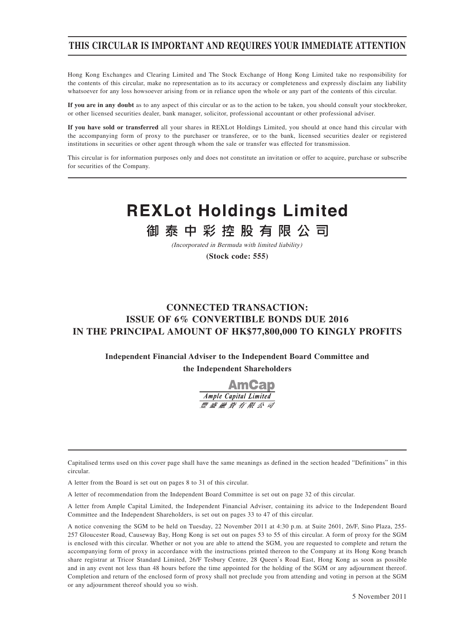# **THIS CIRCULAR IS IMPORTANT AND REQUIRES YOUR IMMEDIATE ATTENTION**

Hong Kong Exchanges and Clearing Limited and The Stock Exchange of Hong Kong Limited take no responsibility for the contents of this circular, make no representation as to its accuracy or completeness and expressly disclaim any liability whatsoever for any loss howsoever arising from or in reliance upon the whole or any part of the contents of this circular.

**If you are in any doubt** as to any aspect of this circular or as to the action to be taken, you should consult your stockbroker, or other licensed securities dealer, bank manager, solicitor, professional accountant or other professional adviser.

**If you have sold or transferred** all your shares in REXLot Holdings Limited, you should at once hand this circular with the accompanying form of proxy to the purchaser or transferee, or to the bank, licensed securities dealer or registered institutions in securities or other agent through whom the sale or transfer was effected for transmission.

This circular is for information purposes only and does not constitute an invitation or offer to acquire, purchase or subscribe for securities of the Company.

# **REXLot Holdings Limited**

御泰中彩控股有限公司

(Incorporated in Bermuda with limited liability)

**(Stock code: 555)**

# **CONNECTED TRANSACTION: ISSUE OF 6% CONVERTIBLE BONDS DUE 2016 IN THE PRINCIPAL AMOUNT OF HK\$77,800,000 TO KINGLY PROFITS**

**Independent Financial Adviser to the Independent Board Committee and the Independent Shareholders**



Capitalised terms used on this cover page shall have the same meanings as defined in the section headed "Definitions" in this circular.

A letter from the Board is set out on pages 8 to 31 of this circular.

A letter of recommendation from the Independent Board Committee is set out on page 32 of this circular.

A letter from Ample Capital Limited, the Independent Financial Adviser, containing its advice to the Independent Board Committee and the Independent Shareholders, is set out on pages 33 to 47 of this circular.

A notice convening the SGM to be held on Tuesday, 22 November 2011 at 4:30 p.m. at Suite 2601, 26/F, Sino Plaza, 255- 257 Gloucester Road, Causeway Bay, Hong Kong is set out on pages 53 to 55 of this circular. A form of proxy for the SGM is enclosed with this circular. Whether or not you are able to attend the SGM, you are requested to complete and return the accompanying form of proxy in accordance with the instructions printed thereon to the Company at its Hong Kong branch share registrar at Tricor Standard Limited, 26/F Tesbury Centre, 28 Queen's Road East, Hong Kong as soon as possible and in any event not less than 48 hours before the time appointed for the holding of the SGM or any adjournment thereof. Completion and return of the enclosed form of proxy shall not preclude you from attending and voting in person at the SGM or any adjournment thereof should you so wish.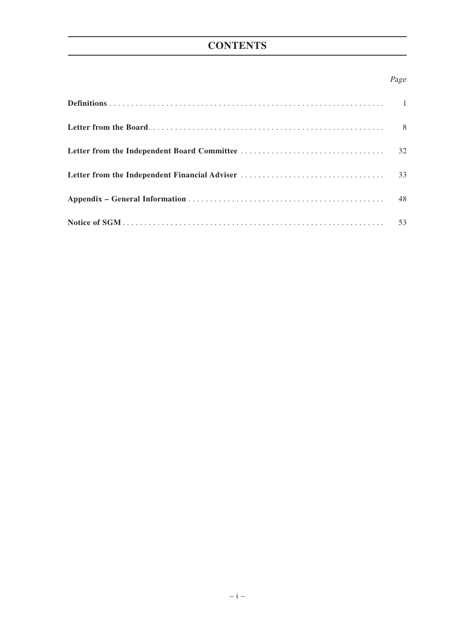# **CONTENTS**

### Page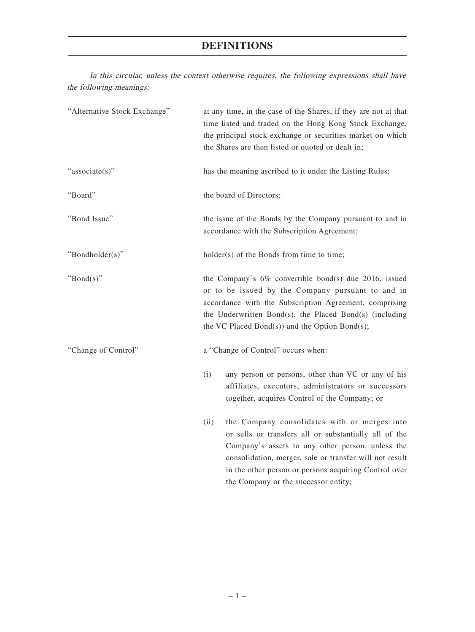In this circular, unless the context otherwise requires, the following expressions shall have the following meanings:

| "Alternative Stock Exchange" | at any time, in the case of the Shares, if they are not at that<br>time listed and traded on the Hong Kong Stock Exchange,<br>the principal stock exchange or securities market on which<br>the Shares are then listed or quoted or dealt in;                                                |
|------------------------------|----------------------------------------------------------------------------------------------------------------------------------------------------------------------------------------------------------------------------------------------------------------------------------------------|
| "associate(s)"               | has the meaning ascribed to it under the Listing Rules;                                                                                                                                                                                                                                      |
| "Board"                      | the board of Directors;                                                                                                                                                                                                                                                                      |
| "Bond Issue"                 | the issue of the Bonds by the Company pursuant to and in<br>accordance with the Subscription Agreement;                                                                                                                                                                                      |
| "Bondholder(s)"              | holder(s) of the Bonds from time to time;                                                                                                                                                                                                                                                    |
| " $Bond(s)$ "                | the Company's $6\%$ convertible bond(s) due 2016, issued<br>or to be issued by the Company pursuant to and in<br>accordance with the Subscription Agreement, comprising<br>the Underwritten Bond(s), the Placed Bond(s) (including<br>the VC Placed Bond $(s)$ ) and the Option Bond $(s)$ ; |
| "Change of Control"          | a "Change of Control" occurs when:                                                                                                                                                                                                                                                           |
|                              | (i)<br>any person or persons, other than VC or any of his<br>affiliates, executors, administrators or successors<br>together, acquires Control of the Company; or                                                                                                                            |
|                              | the Company consolidates with or merges into<br>(ii)<br>or sells or transfers all or substantially all of the<br>Company's assets to any other person, unless the<br>consolidation, merger, sale or transfer will not result<br>in the other person or persons acquiring Control over        |

the Company or the successor entity;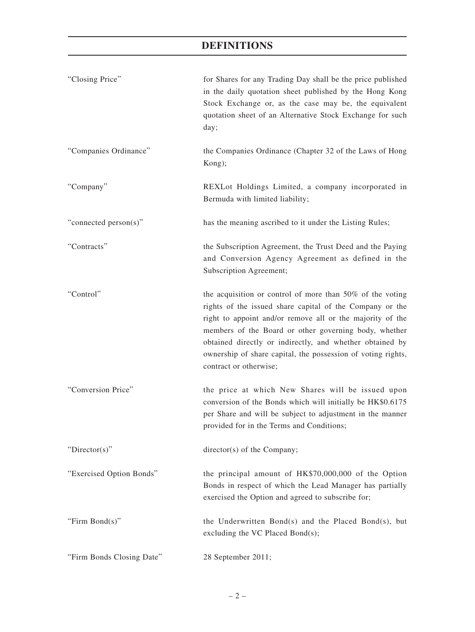| "Closing Price"           | for Shares for any Trading Day shall be the price published<br>in the daily quotation sheet published by the Hong Kong<br>Stock Exchange or, as the case may be, the equivalent<br>quotation sheet of an Alternative Stock Exchange for such<br>day;                                                                                                                                              |
|---------------------------|---------------------------------------------------------------------------------------------------------------------------------------------------------------------------------------------------------------------------------------------------------------------------------------------------------------------------------------------------------------------------------------------------|
| "Companies Ordinance"     | the Companies Ordinance (Chapter 32 of the Laws of Hong<br>Kong);                                                                                                                                                                                                                                                                                                                                 |
| "Company"                 | REXLot Holdings Limited, a company incorporated in<br>Bermuda with limited liability;                                                                                                                                                                                                                                                                                                             |
| "connected person(s)"     | has the meaning ascribed to it under the Listing Rules;                                                                                                                                                                                                                                                                                                                                           |
| "Contracts"               | the Subscription Agreement, the Trust Deed and the Paying<br>and Conversion Agency Agreement as defined in the<br>Subscription Agreement;                                                                                                                                                                                                                                                         |
| "Control"                 | the acquisition or control of more than 50% of the voting<br>rights of the issued share capital of the Company or the<br>right to appoint and/or remove all or the majority of the<br>members of the Board or other governing body, whether<br>obtained directly or indirectly, and whether obtained by<br>ownership of share capital, the possession of voting rights,<br>contract or otherwise; |
| "Conversion Price"        | the price at which New Shares will be issued upon<br>conversion of the Bonds which will initially be HK\$0.6175<br>per Share and will be subject to adjustment in the manner<br>provided for in the Terms and Conditions;                                                                                                                                                                         |
| "Director(s)"             | director(s) of the Company;                                                                                                                                                                                                                                                                                                                                                                       |
| "Exercised Option Bonds"  | the principal amount of HK\$70,000,000 of the Option<br>Bonds in respect of which the Lead Manager has partially<br>exercised the Option and agreed to subscribe for;                                                                                                                                                                                                                             |
| "Firm $Bond(s)$ "         | the Underwritten Bond(s) and the Placed Bond(s), but<br>excluding the VC Placed Bond(s);                                                                                                                                                                                                                                                                                                          |
| "Firm Bonds Closing Date" | 28 September 2011;                                                                                                                                                                                                                                                                                                                                                                                |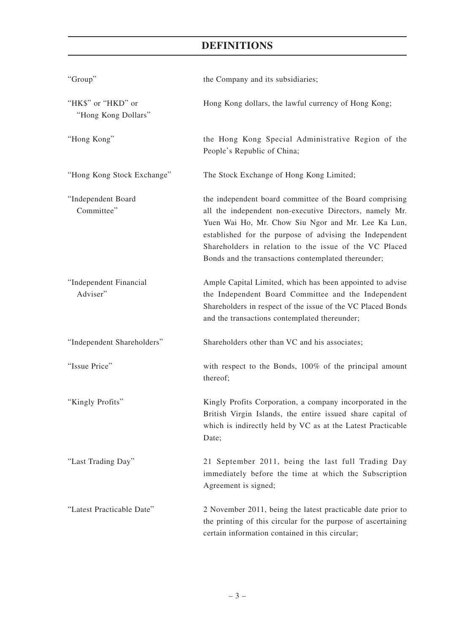| "Group"                                   | the Company and its subsidiaries;                                                                                                                                                                                                                                                                                                                    |
|-------------------------------------------|------------------------------------------------------------------------------------------------------------------------------------------------------------------------------------------------------------------------------------------------------------------------------------------------------------------------------------------------------|
| "HK\$" or "HKD" or<br>"Hong Kong Dollars" | Hong Kong dollars, the lawful currency of Hong Kong;                                                                                                                                                                                                                                                                                                 |
| "Hong Kong"                               | the Hong Kong Special Administrative Region of the<br>People's Republic of China;                                                                                                                                                                                                                                                                    |
| "Hong Kong Stock Exchange"                | The Stock Exchange of Hong Kong Limited;                                                                                                                                                                                                                                                                                                             |
| "Independent Board<br>Committee"          | the independent board committee of the Board comprising<br>all the independent non-executive Directors, namely Mr.<br>Yuen Wai Ho, Mr. Chow Siu Ngor and Mr. Lee Ka Lun,<br>established for the purpose of advising the Independent<br>Shareholders in relation to the issue of the VC Placed<br>Bonds and the transactions contemplated thereunder; |
| "Independent Financial<br>Adviser"        | Ample Capital Limited, which has been appointed to advise<br>the Independent Board Committee and the Independent<br>Shareholders in respect of the issue of the VC Placed Bonds<br>and the transactions contemplated thereunder;                                                                                                                     |
| "Independent Shareholders"                | Shareholders other than VC and his associates;                                                                                                                                                                                                                                                                                                       |
| "Issue Price"                             | with respect to the Bonds, 100% of the principal amount<br>thereof;                                                                                                                                                                                                                                                                                  |
| "Kingly Profits"                          | Kingly Profits Corporation, a company incorporated in the<br>British Virgin Islands, the entire issued share capital of<br>which is indirectly held by VC as at the Latest Practicable<br>Date;                                                                                                                                                      |
| "Last Trading Day"                        | 21 September 2011, being the last full Trading Day<br>immediately before the time at which the Subscription<br>Agreement is signed;                                                                                                                                                                                                                  |
| "Latest Practicable Date"                 | 2 November 2011, being the latest practicable date prior to<br>the printing of this circular for the purpose of ascertaining<br>certain information contained in this circular;                                                                                                                                                                      |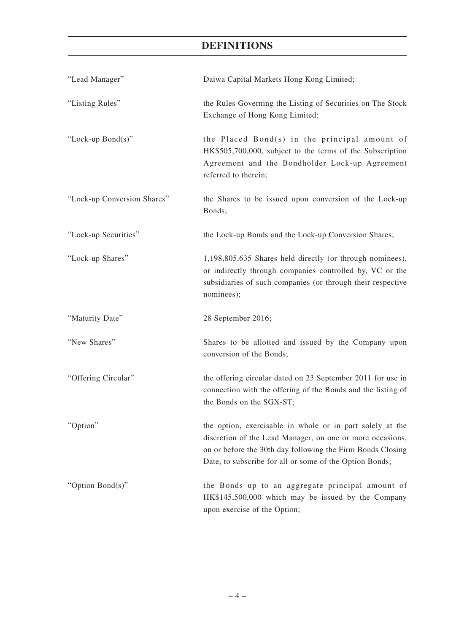| "Lead Manager"              | Daiwa Capital Markets Hong Kong Limited;                                                                                                                                                                                                        |
|-----------------------------|-------------------------------------------------------------------------------------------------------------------------------------------------------------------------------------------------------------------------------------------------|
| "Listing Rules"             | the Rules Governing the Listing of Securities on The Stock<br>Exchange of Hong Kong Limited;                                                                                                                                                    |
| "Lock-up Bond(s)"           | the Placed Bond(s) in the principal amount of<br>HK\$505,700,000, subject to the terms of the Subscription<br>Agreement and the Bondholder Lock-up Agreement<br>referred to therein;                                                            |
| "Lock-up Conversion Shares" | the Shares to be issued upon conversion of the Lock-up<br>Bonds;                                                                                                                                                                                |
| "Lock-up Securities"        | the Lock-up Bonds and the Lock-up Conversion Shares;                                                                                                                                                                                            |
| "Lock-up Shares"            | 1,198,805,635 Shares held directly (or through nominees),<br>or indirectly through companies controlled by, VC or the<br>subsidiaries of such companies (or through their respective<br>nominees);                                              |
| "Maturity Date"             | 28 September 2016;                                                                                                                                                                                                                              |
| "New Shares"                | Shares to be allotted and issued by the Company upon<br>conversion of the Bonds;                                                                                                                                                                |
| "Offering Circular"         | the offering circular dated on 23 September 2011 for use in<br>connection with the offering of the Bonds and the listing of<br>the Bonds on the SGX-ST;                                                                                         |
| "Option"                    | the option, exercisable in whole or in part solely at the<br>discretion of the Lead Manager, on one or more occasions,<br>on or before the 30th day following the Firm Bonds Closing<br>Date, to subscribe for all or some of the Option Bonds; |
| "Option Bond(s)"            | the Bonds up to an aggregate principal amount of<br>HK\$145,500,000 which may be issued by the Company<br>upon exercise of the Option;                                                                                                          |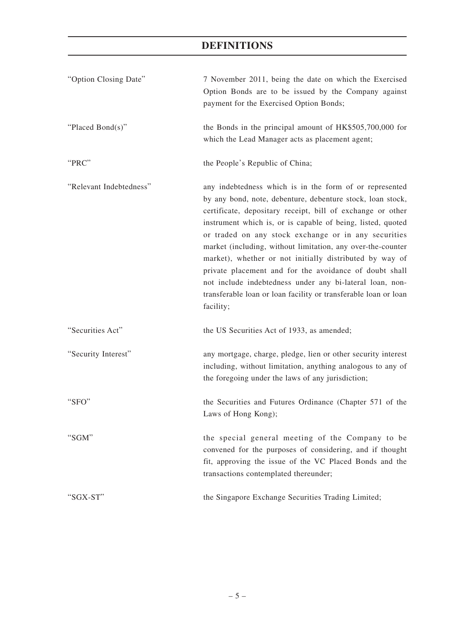| "Option Closing Date"   | 7 November 2011, being the date on which the Exercised<br>Option Bonds are to be issued by the Company against<br>payment for the Exercised Option Bonds;                                                                                                                                                                                                                                                                                                                                                                                                                                                                                  |
|-------------------------|--------------------------------------------------------------------------------------------------------------------------------------------------------------------------------------------------------------------------------------------------------------------------------------------------------------------------------------------------------------------------------------------------------------------------------------------------------------------------------------------------------------------------------------------------------------------------------------------------------------------------------------------|
| "Placed Bond(s)"        | the Bonds in the principal amount of HK\$505,700,000 for<br>which the Lead Manager acts as placement agent;                                                                                                                                                                                                                                                                                                                                                                                                                                                                                                                                |
| "PRC"                   | the People's Republic of China;                                                                                                                                                                                                                                                                                                                                                                                                                                                                                                                                                                                                            |
| "Relevant Indebtedness" | any indebtedness which is in the form of or represented<br>by any bond, note, debenture, debenture stock, loan stock,<br>certificate, depositary receipt, bill of exchange or other<br>instrument which is, or is capable of being, listed, quoted<br>or traded on any stock exchange or in any securities<br>market (including, without limitation, any over-the-counter<br>market), whether or not initially distributed by way of<br>private placement and for the avoidance of doubt shall<br>not include indebtedness under any bi-lateral loan, non-<br>transferable loan or loan facility or transferable loan or loan<br>facility; |
| "Securities Act"        | the US Securities Act of 1933, as amended;                                                                                                                                                                                                                                                                                                                                                                                                                                                                                                                                                                                                 |
| "Security Interest"     | any mortgage, charge, pledge, lien or other security interest<br>including, without limitation, anything analogous to any of<br>the foregoing under the laws of any jurisdiction;                                                                                                                                                                                                                                                                                                                                                                                                                                                          |
| "SFO"                   | the Securities and Futures Ordinance (Chapter 571 of the<br>Laws of Hong Kong);                                                                                                                                                                                                                                                                                                                                                                                                                                                                                                                                                            |
| "SGM"                   | the special general meeting of the Company to be<br>convened for the purposes of considering, and if thought<br>fit, approving the issue of the VC Placed Bonds and the<br>transactions contemplated thereunder;                                                                                                                                                                                                                                                                                                                                                                                                                           |
| "SGX-ST"                | the Singapore Exchange Securities Trading Limited;                                                                                                                                                                                                                                                                                                                                                                                                                                                                                                                                                                                         |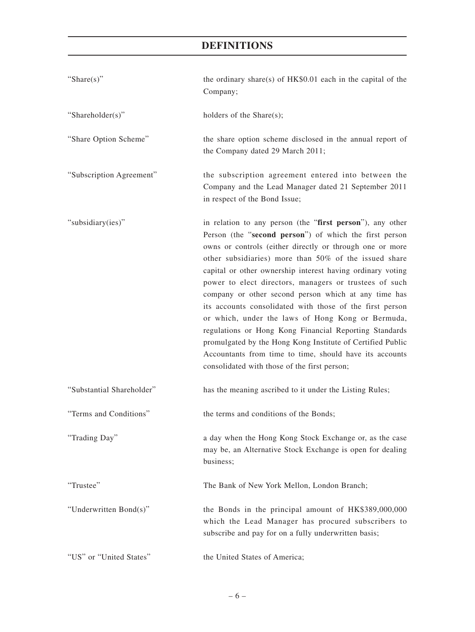| "Share(s)"                | the ordinary share(s) of HK\$0.01 each in the capital of the<br>Company;                                                                                                                                                                                                                                                                                                                                                                                                                                                                                                                                                                                                                                                                                                     |
|---------------------------|------------------------------------------------------------------------------------------------------------------------------------------------------------------------------------------------------------------------------------------------------------------------------------------------------------------------------------------------------------------------------------------------------------------------------------------------------------------------------------------------------------------------------------------------------------------------------------------------------------------------------------------------------------------------------------------------------------------------------------------------------------------------------|
| "Shareholder(s)"          | holders of the Share(s);                                                                                                                                                                                                                                                                                                                                                                                                                                                                                                                                                                                                                                                                                                                                                     |
| "Share Option Scheme"     | the share option scheme disclosed in the annual report of<br>the Company dated 29 March 2011;                                                                                                                                                                                                                                                                                                                                                                                                                                                                                                                                                                                                                                                                                |
| "Subscription Agreement"  | the subscription agreement entered into between the<br>Company and the Lead Manager dated 21 September 2011<br>in respect of the Bond Issue;                                                                                                                                                                                                                                                                                                                                                                                                                                                                                                                                                                                                                                 |
| "subsidiary(ies)"         | in relation to any person (the "first person"), any other<br>Person (the "second person") of which the first person<br>owns or controls (either directly or through one or more<br>other subsidiaries) more than 50% of the issued share<br>capital or other ownership interest having ordinary voting<br>power to elect directors, managers or trustees of such<br>company or other second person which at any time has<br>its accounts consolidated with those of the first person<br>or which, under the laws of Hong Kong or Bermuda,<br>regulations or Hong Kong Financial Reporting Standards<br>promulgated by the Hong Kong Institute of Certified Public<br>Accountants from time to time, should have its accounts<br>consolidated with those of the first person; |
| "Substantial Shareholder" | has the meaning ascribed to it under the Listing Rules;                                                                                                                                                                                                                                                                                                                                                                                                                                                                                                                                                                                                                                                                                                                      |
| "Terms and Conditions"    | the terms and conditions of the Bonds;                                                                                                                                                                                                                                                                                                                                                                                                                                                                                                                                                                                                                                                                                                                                       |
| "Trading Day"             | a day when the Hong Kong Stock Exchange or, as the case<br>may be, an Alternative Stock Exchange is open for dealing<br>business;                                                                                                                                                                                                                                                                                                                                                                                                                                                                                                                                                                                                                                            |
| "Trustee"                 | The Bank of New York Mellon, London Branch;                                                                                                                                                                                                                                                                                                                                                                                                                                                                                                                                                                                                                                                                                                                                  |
| "Underwritten Bond(s)"    | the Bonds in the principal amount of HK\$389,000,000<br>which the Lead Manager has procured subscribers to<br>subscribe and pay for on a fully underwritten basis;                                                                                                                                                                                                                                                                                                                                                                                                                                                                                                                                                                                                           |
| "US" or "United States"   | the United States of America;                                                                                                                                                                                                                                                                                                                                                                                                                                                                                                                                                                                                                                                                                                                                                |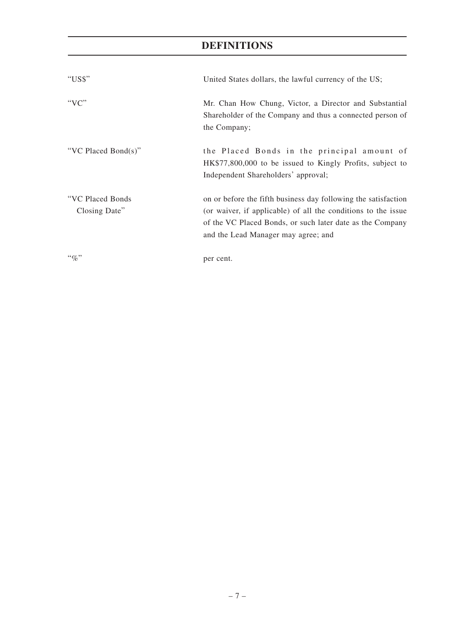| "US\$"                             | United States dollars, the lawful currency of the US;                                                                                                                                                                               |
|------------------------------------|-------------------------------------------------------------------------------------------------------------------------------------------------------------------------------------------------------------------------------------|
| " $VC$ "                           | Mr. Chan How Chung, Victor, a Director and Substantial<br>Shareholder of the Company and thus a connected person of<br>the Company;                                                                                                 |
| "VC Placed Bond(s)"                | the Placed Bonds in the principal amount of<br>HK\$77,800,000 to be issued to Kingly Profits, subject to<br>Independent Shareholders' approval;                                                                                     |
| "VC Placed Bonds"<br>Closing Date" | on or before the fifth business day following the satisfaction<br>(or waiver, if applicable) of all the conditions to the issue<br>of the VC Placed Bonds, or such later date as the Company<br>and the Lead Manager may agree; and |
| $``\%"$                            | per cent.                                                                                                                                                                                                                           |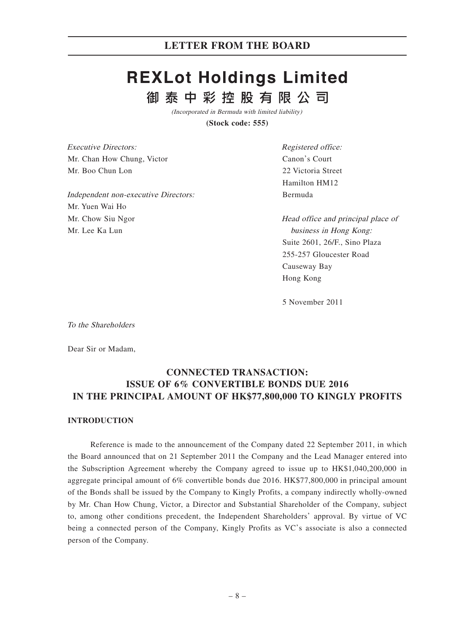# **REXLot Holdings Limited** 御泰中彩控股有限公司

(Incorporated in Bermuda with limited liability)

**(Stock code: 555)**

Executive Directors: Mr. Chan How Chung, Victor Mr. Boo Chun Lon

Independent non-executive Directors: Mr. Yuen Wai Ho Mr. Chow Siu Ngor Mr. Lee Ka Lun

Registered office: Canon's Court 22 Victoria Street Hamilton HM12 Bermuda

Head office and principal place of business in Hong Kong: Suite 2601, 26/F., Sino Plaza 255-257 Gloucester Road Causeway Bay Hong Kong

5 November 2011

To the Shareholders

Dear Sir or Madam,

# **CONNECTED TRANSACTION: ISSUE OF 6% CONVERTIBLE BONDS DUE 2016 IN THE PRINCIPAL AMOUNT OF HK\$77,800,000 TO KINGLY PROFITS**

#### **INTRODUCTION**

Reference is made to the announcement of the Company dated 22 September 2011, in which the Board announced that on 21 September 2011 the Company and the Lead Manager entered into the Subscription Agreement whereby the Company agreed to issue up to HK\$1,040,200,000 in aggregate principal amount of 6% convertible bonds due 2016. HK\$77,800,000 in principal amount of the Bonds shall be issued by the Company to Kingly Profits, a company indirectly wholly-owned by Mr. Chan How Chung, Victor, a Director and Substantial Shareholder of the Company, subject to, among other conditions precedent, the Independent Shareholders' approval. By virtue of VC being a connected person of the Company, Kingly Profits as VC's associate is also a connected person of the Company.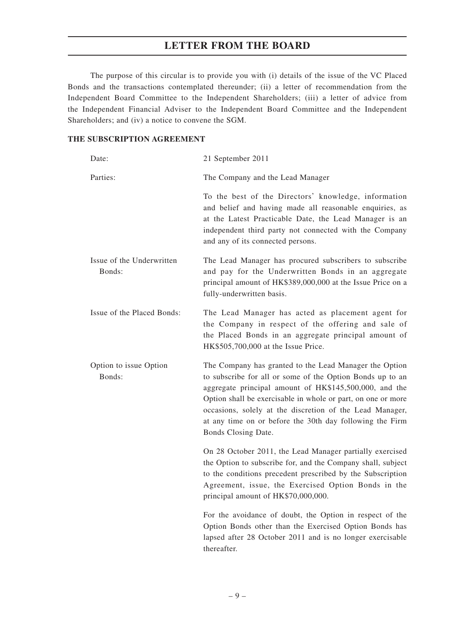The purpose of this circular is to provide you with (i) details of the issue of the VC Placed Bonds and the transactions contemplated thereunder; (ii) a letter of recommendation from the Independent Board Committee to the Independent Shareholders; (iii) a letter of advice from the Independent Financial Adviser to the Independent Board Committee and the Independent Shareholders; and (iv) a notice to convene the SGM.

#### **THE SUBSCRIPTION AGREEMENT**

| Date:                               | 21 September 2011                                                                                                                                                                                                                                                                                                                                                                            |
|-------------------------------------|----------------------------------------------------------------------------------------------------------------------------------------------------------------------------------------------------------------------------------------------------------------------------------------------------------------------------------------------------------------------------------------------|
| Parties:                            | The Company and the Lead Manager                                                                                                                                                                                                                                                                                                                                                             |
|                                     | To the best of the Directors' knowledge, information<br>and belief and having made all reasonable enquiries, as<br>at the Latest Practicable Date, the Lead Manager is an<br>independent third party not connected with the Company<br>and any of its connected persons.                                                                                                                     |
| Issue of the Underwritten<br>Bonds: | The Lead Manager has procured subscribers to subscribe<br>and pay for the Underwritten Bonds in an aggregate<br>principal amount of HK\$389,000,000 at the Issue Price on a<br>fully-underwritten basis.                                                                                                                                                                                     |
| Issue of the Placed Bonds:          | The Lead Manager has acted as placement agent for<br>the Company in respect of the offering and sale of<br>the Placed Bonds in an aggregate principal amount of<br>HK\$505,700,000 at the Issue Price.                                                                                                                                                                                       |
| Option to issue Option<br>Bonds:    | The Company has granted to the Lead Manager the Option<br>to subscribe for all or some of the Option Bonds up to an<br>aggregate principal amount of HK\$145,500,000, and the<br>Option shall be exercisable in whole or part, on one or more<br>occasions, solely at the discretion of the Lead Manager,<br>at any time on or before the 30th day following the Firm<br>Bonds Closing Date. |
|                                     | On 28 October 2011, the Lead Manager partially exercised<br>the Option to subscribe for, and the Company shall, subject<br>to the conditions precedent prescribed by the Subscription<br>Agreement, issue, the Exercised Option Bonds in the<br>principal amount of HK\$70,000,000.                                                                                                          |
|                                     | For the avoidance of doubt, the Option in respect of the<br>Option Bonds other than the Exercised Option Bonds has<br>lapsed after 28 October 2011 and is no longer exercisable<br>thereafter.                                                                                                                                                                                               |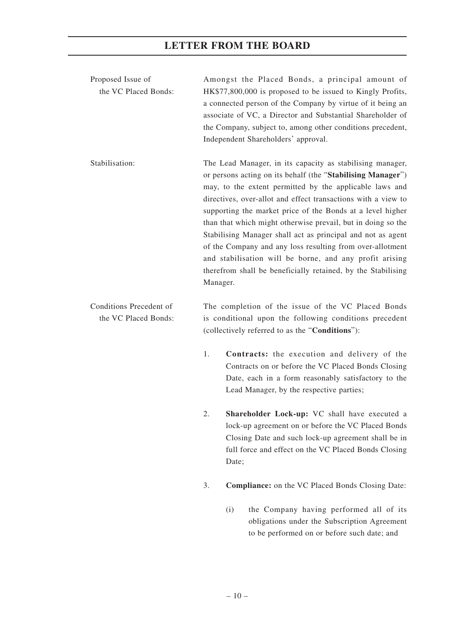| Proposed Issue of<br>the VC Placed Bonds:       |          |       | Amongst the Placed Bonds, a principal amount of<br>HK\$77,800,000 is proposed to be issued to Kingly Profits,<br>a connected person of the Company by virtue of it being an<br>associate of VC, a Director and Substantial Shareholder of<br>the Company, subject to, among other conditions precedent,<br>Independent Shareholders' approval.                                                                                                                                                                                                                                                                                            |
|-------------------------------------------------|----------|-------|-------------------------------------------------------------------------------------------------------------------------------------------------------------------------------------------------------------------------------------------------------------------------------------------------------------------------------------------------------------------------------------------------------------------------------------------------------------------------------------------------------------------------------------------------------------------------------------------------------------------------------------------|
| Stabilisation:                                  | Manager. |       | The Lead Manager, in its capacity as stabilising manager,<br>or persons acting on its behalf (the "Stabilising Manager")<br>may, to the extent permitted by the applicable laws and<br>directives, over-allot and effect transactions with a view to<br>supporting the market price of the Bonds at a level higher<br>than that which might otherwise prevail, but in doing so the<br>Stabilising Manager shall act as principal and not as agent<br>of the Company and any loss resulting from over-allotment<br>and stabilisation will be borne, and any profit arising<br>therefrom shall be beneficially retained, by the Stabilising |
| Conditions Precedent of<br>the VC Placed Bonds: |          |       | The completion of the issue of the VC Placed Bonds<br>is conditional upon the following conditions precedent<br>(collectively referred to as the "Conditions"):                                                                                                                                                                                                                                                                                                                                                                                                                                                                           |
|                                                 | 1.       |       | Contracts: the execution and delivery of the<br>Contracts on or before the VC Placed Bonds Closing<br>Date, each in a form reasonably satisfactory to the<br>Lead Manager, by the respective parties;                                                                                                                                                                                                                                                                                                                                                                                                                                     |
|                                                 | 2.       | Date; | Shareholder Lock-up: VC shall have executed a<br>lock-up agreement on or before the VC Placed Bonds<br>Closing Date and such lock-up agreement shall be in<br>full force and effect on the VC Placed Bonds Closing                                                                                                                                                                                                                                                                                                                                                                                                                        |
|                                                 | 3.       |       | Compliance: on the VC Placed Bonds Closing Date:                                                                                                                                                                                                                                                                                                                                                                                                                                                                                                                                                                                          |
|                                                 |          | (i)   | the Company having performed all of its<br>obligations under the Subscription Agreement<br>to be performed on or before such date; and                                                                                                                                                                                                                                                                                                                                                                                                                                                                                                    |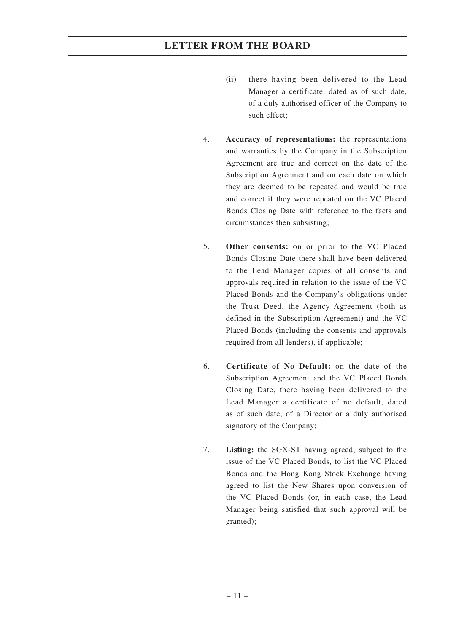- (ii) there having been delivered to the Lead Manager a certificate, dated as of such date, of a duly authorised officer of the Company to such effect;
- 4. **Accuracy of representations:** the representations and warranties by the Company in the Subscription Agreement are true and correct on the date of the Subscription Agreement and on each date on which they are deemed to be repeated and would be true and correct if they were repeated on the VC Placed Bonds Closing Date with reference to the facts and circumstances then subsisting;
- 5. **Other consents:** on or prior to the VC Placed Bonds Closing Date there shall have been delivered to the Lead Manager copies of all consents and approvals required in relation to the issue of the VC Placed Bonds and the Company's obligations under the Trust Deed, the Agency Agreement (both as defined in the Subscription Agreement) and the VC Placed Bonds (including the consents and approvals required from all lenders), if applicable;
- 6. **Certificate of No Default:** on the date of the Subscription Agreement and the VC Placed Bonds Closing Date, there having been delivered to the Lead Manager a certificate of no default, dated as of such date, of a Director or a duly authorised signatory of the Company;
- 7. **Listing:** the SGX-ST having agreed, subject to the issue of the VC Placed Bonds, to list the VC Placed Bonds and the Hong Kong Stock Exchange having agreed to list the New Shares upon conversion of the VC Placed Bonds (or, in each case, the Lead Manager being satisfied that such approval will be granted);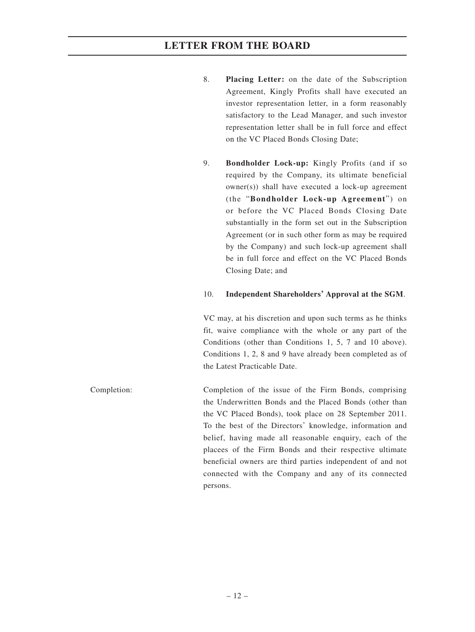- 8. **Placing Letter:** on the date of the Subscription Agreement, Kingly Profits shall have executed an investor representation letter, in a form reasonably satisfactory to the Lead Manager, and such investor representation letter shall be in full force and effect on the VC Placed Bonds Closing Date;
- 9. **Bondholder Lock-up:** Kingly Profits (and if so required by the Company, its ultimate beneficial owner(s)) shall have executed a lock-up agreement (the "**Bondholder Lock-up Agreement**") on or before the VC Placed Bonds Closing Date substantially in the form set out in the Subscription Agreement (or in such other form as may be required by the Company) and such lock-up agreement shall be in full force and effect on the VC Placed Bonds Closing Date; and

#### 10. **Independent Shareholders' Approval at the SGM**.

VC may, at his discretion and upon such terms as he thinks fit, waive compliance with the whole or any part of the Conditions (other than Conditions 1, 5, 7 and 10 above). Conditions 1, 2, 8 and 9 have already been completed as of the Latest Practicable Date.

Completion: Completion of the issue of the Firm Bonds, comprising the Underwritten Bonds and the Placed Bonds (other than the VC Placed Bonds), took place on 28 September 2011. To the best of the Directors' knowledge, information and belief, having made all reasonable enquiry, each of the placees of the Firm Bonds and their respective ultimate beneficial owners are third parties independent of and not connected with the Company and any of its connected persons.

– 12 –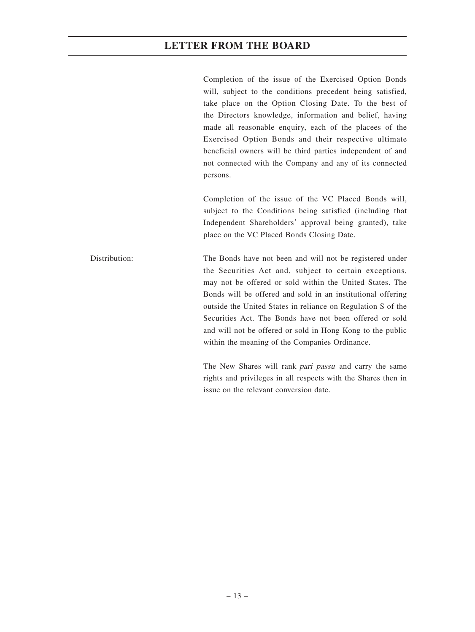Completion of the issue of the Exercised Option Bonds will, subject to the conditions precedent being satisfied, take place on the Option Closing Date. To the best of the Directors knowledge, information and belief, having made all reasonable enquiry, each of the placees of the Exercised Option Bonds and their respective ultimate beneficial owners will be third parties independent of and not connected with the Company and any of its connected persons.

Completion of the issue of the VC Placed Bonds will, subject to the Conditions being satisfied (including that Independent Shareholders' approval being granted), take place on the VC Placed Bonds Closing Date.

Distribution: The Bonds have not been and will not be registered under the Securities Act and, subject to certain exceptions, may not be offered or sold within the United States. The Bonds will be offered and sold in an institutional offering outside the United States in reliance on Regulation S of the Securities Act. The Bonds have not been offered or sold and will not be offered or sold in Hong Kong to the public within the meaning of the Companies Ordinance.

> The New Shares will rank *pari passu* and carry the same rights and privileges in all respects with the Shares then in issue on the relevant conversion date.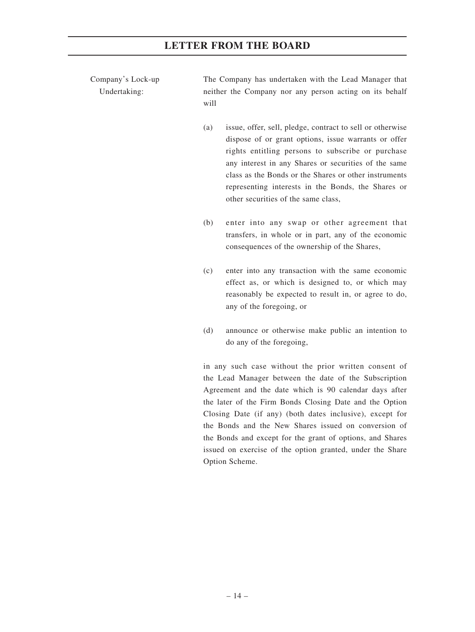Company's Lock-up Undertaking:

The Company has undertaken with the Lead Manager that neither the Company nor any person acting on its behalf will

- (a) issue, offer, sell, pledge, contract to sell or otherwise dispose of or grant options, issue warrants or offer rights entitling persons to subscribe or purchase any interest in any Shares or securities of the same class as the Bonds or the Shares or other instruments representing interests in the Bonds, the Shares or other securities of the same class,
- (b) enter into any swap or other agreement that transfers, in whole or in part, any of the economic consequences of the ownership of the Shares,
- (c) enter into any transaction with the same economic effect as, or which is designed to, or which may reasonably be expected to result in, or agree to do, any of the foregoing, or
- (d) announce or otherwise make public an intention to do any of the foregoing,

in any such case without the prior written consent of the Lead Manager between the date of the Subscription Agreement and the date which is 90 calendar days after the later of the Firm Bonds Closing Date and the Option Closing Date (if any) (both dates inclusive), except for the Bonds and the New Shares issued on conversion of the Bonds and except for the grant of options, and Shares issued on exercise of the option granted, under the Share Option Scheme.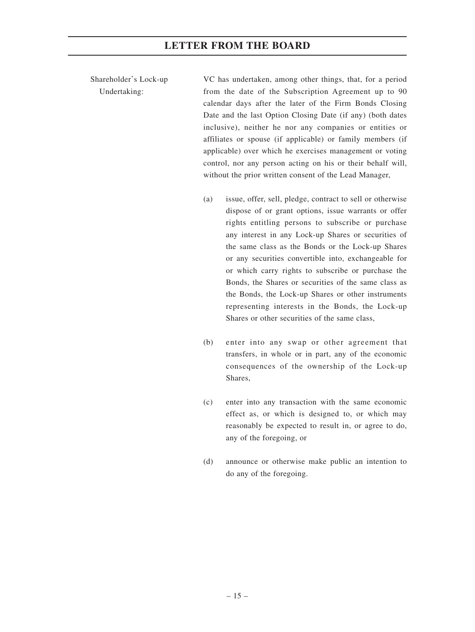Shareholder's Lock-up Undertaking:

VC has undertaken, among other things, that, for a period from the date of the Subscription Agreement up to 90 calendar days after the later of the Firm Bonds Closing Date and the last Option Closing Date (if any) (both dates inclusive), neither he nor any companies or entities or affiliates or spouse (if applicable) or family members (if applicable) over which he exercises management or voting control, nor any person acting on his or their behalf will, without the prior written consent of the Lead Manager,

- (a) issue, offer, sell, pledge, contract to sell or otherwise dispose of or grant options, issue warrants or offer rights entitling persons to subscribe or purchase any interest in any Lock-up Shares or securities of the same class as the Bonds or the Lock-up Shares or any securities convertible into, exchangeable for or which carry rights to subscribe or purchase the Bonds, the Shares or securities of the same class as the Bonds, the Lock-up Shares or other instruments representing interests in the Bonds, the Lock-up Shares or other securities of the same class,
- (b) enter into any swap or other agreement that transfers, in whole or in part, any of the economic consequences of the ownership of the Lock-up Shares,
- (c) enter into any transaction with the same economic effect as, or which is designed to, or which may reasonably be expected to result in, or agree to do, any of the foregoing, or
- (d) announce or otherwise make public an intention to do any of the foregoing.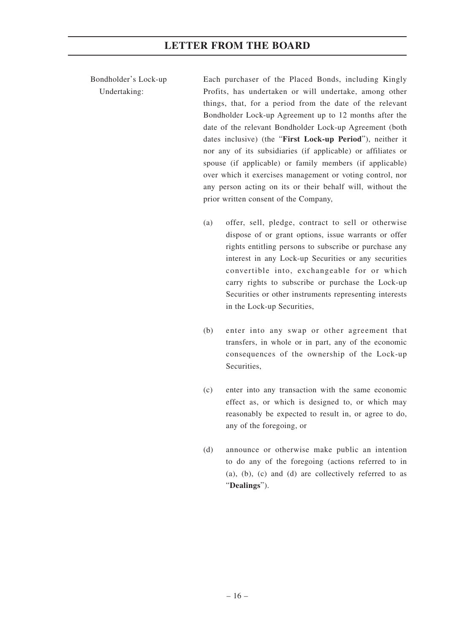Bondholder's Lock-up Undertaking:

Each purchaser of the Placed Bonds, including Kingly Profits, has undertaken or will undertake, among other things, that, for a period from the date of the relevant Bondholder Lock-up Agreement up to 12 months after the date of the relevant Bondholder Lock-up Agreement (both dates inclusive) (the "**First Lock-up Period**"), neither it nor any of its subsidiaries (if applicable) or affiliates or spouse (if applicable) or family members (if applicable) over which it exercises management or voting control, nor any person acting on its or their behalf will, without the prior written consent of the Company,

- (a) offer, sell, pledge, contract to sell or otherwise dispose of or grant options, issue warrants or offer rights entitling persons to subscribe or purchase any interest in any Lock-up Securities or any securities convertible into, exchangeable for or which carry rights to subscribe or purchase the Lock-up Securities or other instruments representing interests in the Lock-up Securities,
- (b) enter into any swap or other agreement that transfers, in whole or in part, any of the economic consequences of the ownership of the Lock-up Securities,
- (c) enter into any transaction with the same economic effect as, or which is designed to, or which may reasonably be expected to result in, or agree to do, any of the foregoing, or
- (d) announce or otherwise make public an intention to do any of the foregoing (actions referred to in (a), (b), (c) and (d) are collectively referred to as "**Dealings**").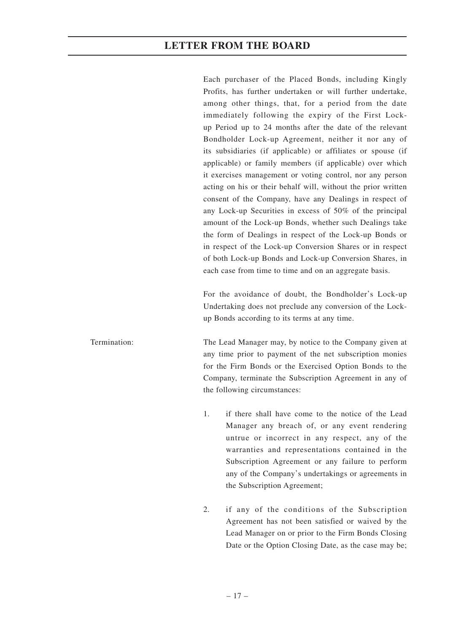Each purchaser of the Placed Bonds, including Kingly Profits, has further undertaken or will further undertake, among other things, that, for a period from the date immediately following the expiry of the First Lockup Period up to 24 months after the date of the relevant Bondholder Lock-up Agreement, neither it nor any of its subsidiaries (if applicable) or affiliates or spouse (if applicable) or family members (if applicable) over which it exercises management or voting control, nor any person acting on his or their behalf will, without the prior written consent of the Company, have any Dealings in respect of any Lock-up Securities in excess of 50% of the principal amount of the Lock-up Bonds, whether such Dealings take the form of Dealings in respect of the Lock-up Bonds or in respect of the Lock-up Conversion Shares or in respect of both Lock-up Bonds and Lock-up Conversion Shares, in each case from time to time and on an aggregate basis.

For the avoidance of doubt, the Bondholder's Lock-up Undertaking does not preclude any conversion of the Lockup Bonds according to its terms at any time.

Termination: The Lead Manager may, by notice to the Company given at any time prior to payment of the net subscription monies for the Firm Bonds or the Exercised Option Bonds to the Company, terminate the Subscription Agreement in any of the following circumstances:

- 1. if there shall have come to the notice of the Lead Manager any breach of, or any event rendering untrue or incorrect in any respect, any of the warranties and representations contained in the Subscription Agreement or any failure to perform any of the Company's undertakings or agreements in the Subscription Agreement;
- 2. if any of the conditions of the Subscription Agreement has not been satisfied or waived by the Lead Manager on or prior to the Firm Bonds Closing Date or the Option Closing Date, as the case may be;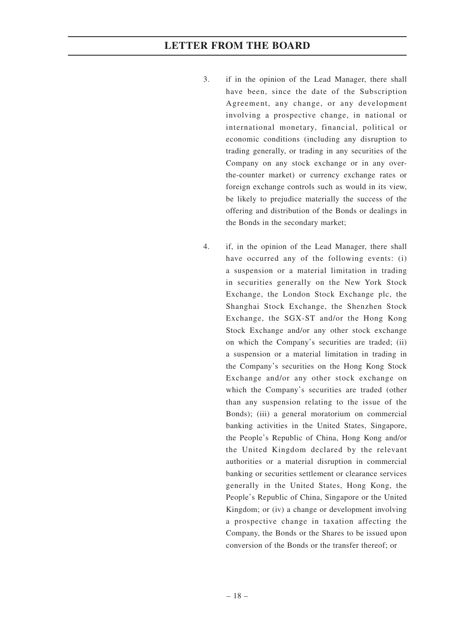- 3. if in the opinion of the Lead Manager, there shall have been, since the date of the Subscription Agreement, any change, or any development involving a prospective change, in national or international monetary, financial, political or economic conditions (including any disruption to trading generally, or trading in any securities of the Company on any stock exchange or in any overthe-counter market) or currency exchange rates or foreign exchange controls such as would in its view, be likely to prejudice materially the success of the offering and distribution of the Bonds or dealings in the Bonds in the secondary market;
- 4. if, in the opinion of the Lead Manager, there shall have occurred any of the following events: (i) a suspension or a material limitation in trading in securities generally on the New York Stock Exchange, the London Stock Exchange plc, the Shanghai Stock Exchange, the Shenzhen Stock Exchange, the SGX-ST and/or the Hong Kong Stock Exchange and/or any other stock exchange on which the Company's securities are traded; (ii) a suspension or a material limitation in trading in the Company's securities on the Hong Kong Stock Exchange and/or any other stock exchange on which the Company's securities are traded (other than any suspension relating to the issue of the Bonds); (iii) a general moratorium on commercial banking activities in the United States, Singapore, the People's Republic of China, Hong Kong and/or the United Kingdom declared by the relevant authorities or a material disruption in commercial banking or securities settlement or clearance services generally in the United States, Hong Kong, the People's Republic of China, Singapore or the United Kingdom; or (iv) a change or development involving a prospective change in taxation affecting the Company, the Bonds or the Shares to be issued upon conversion of the Bonds or the transfer thereof; or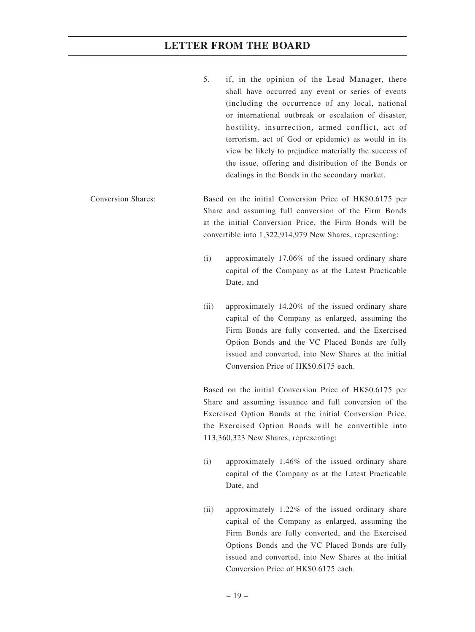- 5. if, in the opinion of the Lead Manager, there shall have occurred any event or series of events (including the occurrence of any local, national or international outbreak or escalation of disaster, hostility, insurrection, armed conflict, act of terrorism, act of God or epidemic) as would in its view be likely to prejudice materially the success of the issue, offering and distribution of the Bonds or dealings in the Bonds in the secondary market.
- Conversion Shares: Based on the initial Conversion Price of HK\$0.6175 per Share and assuming full conversion of the Firm Bonds at the initial Conversion Price, the Firm Bonds will be convertible into 1,322,914,979 New Shares, representing:
	- (i) approximately 17.06% of the issued ordinary share capital of the Company as at the Latest Practicable Date, and
	- (ii) approximately 14.20% of the issued ordinary share capital of the Company as enlarged, assuming the Firm Bonds are fully converted, and the Exercised Option Bonds and the VC Placed Bonds are fully issued and converted, into New Shares at the initial Conversion Price of HK\$0.6175 each.

Based on the initial Conversion Price of HK\$0.6175 per Share and assuming issuance and full conversion of the Exercised Option Bonds at the initial Conversion Price, the Exercised Option Bonds will be convertible into 113,360,323 New Shares, representing:

- (i) approximately 1.46% of the issued ordinary share capital of the Company as at the Latest Practicable Date, and
- (ii) approximately 1.22% of the issued ordinary share capital of the Company as enlarged, assuming the Firm Bonds are fully converted, and the Exercised Options Bonds and the VC Placed Bonds are fully issued and converted, into New Shares at the initial Conversion Price of HK\$0.6175 each.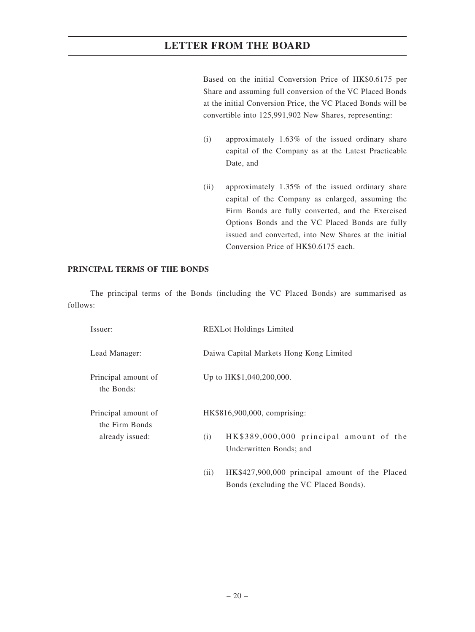Based on the initial Conversion Price of HK\$0.6175 per Share and assuming full conversion of the VC Placed Bonds at the initial Conversion Price, the VC Placed Bonds will be convertible into 125,991,902 New Shares, representing:

- (i) approximately 1.63% of the issued ordinary share capital of the Company as at the Latest Practicable Date, and
- (ii) approximately 1.35% of the issued ordinary share capital of the Company as enlarged, assuming the Firm Bonds are fully converted, and the Exercised Options Bonds and the VC Placed Bonds are fully issued and converted, into New Shares at the initial Conversion Price of HK\$0.6175 each.

Bonds (excluding the VC Placed Bonds).

#### **PRINCIPAL TERMS OF THE BONDS**

The principal terms of the Bonds (including the VC Placed Bonds) are summarised as follows:

| Issuer:                               | <b>REXLot Holdings Limited</b>                                            |
|---------------------------------------|---------------------------------------------------------------------------|
| Lead Manager:                         | Daiwa Capital Markets Hong Kong Limited                                   |
| Principal amount of<br>the Bonds:     | Up to HK\$1,040,200,000.                                                  |
| Principal amount of<br>the Firm Bonds | HK\$816,900,000, comprising:                                              |
| already issued:                       | HK\$389,000,000 principal amount of the<br>(i)<br>Underwritten Bonds; and |
|                                       | HK\$427,900,000 principal amount of the Placed<br>(11)                    |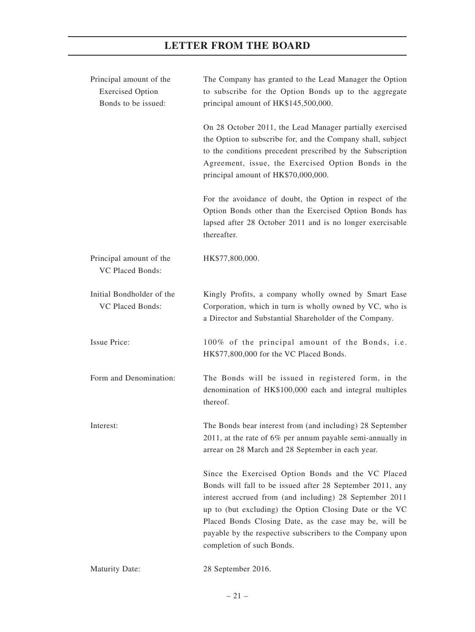| Principal amount of the<br><b>Exercised Option</b><br>Bonds to be issued: | The Company has granted to the Lead Manager the Option<br>to subscribe for the Option Bonds up to the aggregate<br>principal amount of HK\$145,500,000.                                                                                                                                                                                                                                   |
|---------------------------------------------------------------------------|-------------------------------------------------------------------------------------------------------------------------------------------------------------------------------------------------------------------------------------------------------------------------------------------------------------------------------------------------------------------------------------------|
|                                                                           | On 28 October 2011, the Lead Manager partially exercised<br>the Option to subscribe for, and the Company shall, subject<br>to the conditions precedent prescribed by the Subscription<br>Agreement, issue, the Exercised Option Bonds in the<br>principal amount of HK\$70,000,000.                                                                                                       |
|                                                                           | For the avoidance of doubt, the Option in respect of the<br>Option Bonds other than the Exercised Option Bonds has<br>lapsed after 28 October 2011 and is no longer exercisable<br>thereafter.                                                                                                                                                                                            |
| Principal amount of the<br><b>VC Placed Bonds:</b>                        | HK\$77,800,000.                                                                                                                                                                                                                                                                                                                                                                           |
| Initial Bondholder of the<br>VC Placed Bonds:                             | Kingly Profits, a company wholly owned by Smart Ease<br>Corporation, which in turn is wholly owned by VC, who is<br>a Director and Substantial Shareholder of the Company.                                                                                                                                                                                                                |
| <b>Issue Price:</b>                                                       | 100% of the principal amount of the Bonds, i.e.<br>HK\$77,800,000 for the VC Placed Bonds.                                                                                                                                                                                                                                                                                                |
| Form and Denomination:                                                    | The Bonds will be issued in registered form, in the<br>denomination of HK\$100,000 each and integral multiples<br>thereof.                                                                                                                                                                                                                                                                |
| Interest:                                                                 | The Bonds bear interest from (and including) 28 September<br>2011, at the rate of 6% per annum payable semi-annually in<br>arrear on 28 March and 28 September in each year.                                                                                                                                                                                                              |
|                                                                           | Since the Exercised Option Bonds and the VC Placed<br>Bonds will fall to be issued after 28 September 2011, any<br>interest accrued from (and including) 28 September 2011<br>up to (but excluding) the Option Closing Date or the VC<br>Placed Bonds Closing Date, as the case may be, will be<br>payable by the respective subscribers to the Company upon<br>completion of such Bonds. |
| <b>Maturity Date:</b>                                                     | 28 September 2016.                                                                                                                                                                                                                                                                                                                                                                        |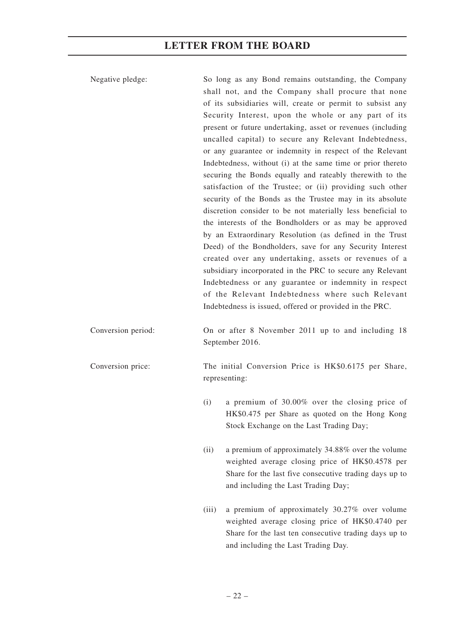Negative pledge: So long as any Bond remains outstanding, the Company shall not, and the Company shall procure that none of its subsidiaries will, create or permit to subsist any Security Interest, upon the whole or any part of its present or future undertaking, asset or revenues (including uncalled capital) to secure any Relevant Indebtedness, or any guarantee or indemnity in respect of the Relevant Indebtedness, without (i) at the same time or prior thereto securing the Bonds equally and rateably therewith to the satisfaction of the Trustee; or (ii) providing such other security of the Bonds as the Trustee may in its absolute discretion consider to be not materially less beneficial to the interests of the Bondholders or as may be approved by an Extraordinary Resolution (as defined in the Trust Deed) of the Bondholders, save for any Security Interest created over any undertaking, assets or revenues of a subsidiary incorporated in the PRC to secure any Relevant Indebtedness or any guarantee or indemnity in respect of the Relevant Indebtedness where such Relevant Indebtedness is issued, offered or provided in the PRC. Conversion period: On or after 8 November 2011 up to and including 18 September 2016. Conversion price: The initial Conversion Price is HK\$0.6175 per Share, representing: (i) a premium of 30.00% over the closing price of HK\$0.475 per Share as quoted on the Hong Kong Stock Exchange on the Last Trading Day; (ii) a premium of approximately 34.88% over the volume weighted average closing price of HK\$0.4578 per Share for the last five consecutive trading days up to and including the Last Trading Day; (iii) a premium of approximately 30.27% over volume

weighted average closing price of HK\$0.4740 per Share for the last ten consecutive trading days up to and including the Last Trading Day.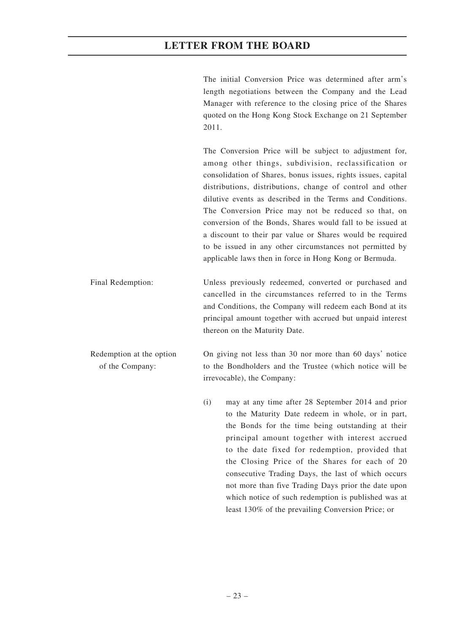The initial Conversion Price was determined after arm's length negotiations between the Company and the Lead Manager with reference to the closing price of the Shares quoted on the Hong Kong Stock Exchange on 21 September 2011.

The Conversion Price will be subject to adjustment for, among other things, subdivision, reclassification or consolidation of Shares, bonus issues, rights issues, capital distributions, distributions, change of control and other dilutive events as described in the Terms and Conditions. The Conversion Price may not be reduced so that, on conversion of the Bonds, Shares would fall to be issued at a discount to their par value or Shares would be required to be issued in any other circumstances not permitted by applicable laws then in force in Hong Kong or Bermuda.

Final Redemption: Unless previously redeemed, converted or purchased and cancelled in the circumstances referred to in the Terms and Conditions, the Company will redeem each Bond at its principal amount together with accrued but unpaid interest thereon on the Maturity Date.

Redemption at the option of the Company: On giving not less than 30 nor more than 60 days' notice to the Bondholders and the Trustee (which notice will be irrevocable), the Company:

> (i) may at any time after 28 September 2014 and prior to the Maturity Date redeem in whole, or in part, the Bonds for the time being outstanding at their principal amount together with interest accrued to the date fixed for redemption, provided that the Closing Price of the Shares for each of 20 consecutive Trading Days, the last of which occurs not more than five Trading Days prior the date upon which notice of such redemption is published was at least 130% of the prevailing Conversion Price; or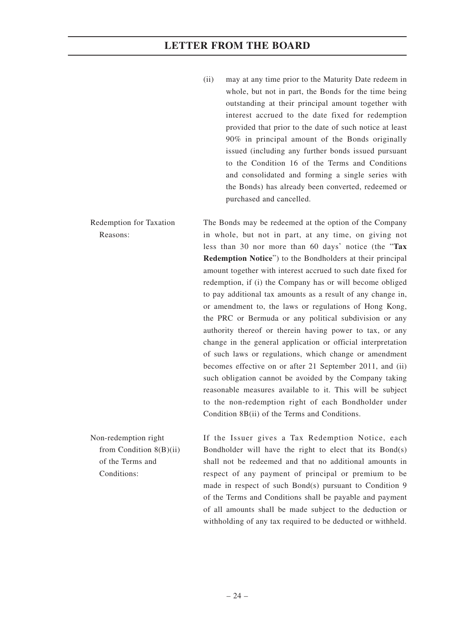(ii) may at any time prior to the Maturity Date redeem in whole, but not in part, the Bonds for the time being outstanding at their principal amount together with interest accrued to the date fixed for redemption provided that prior to the date of such notice at least 90% in principal amount of the Bonds originally issued (including any further bonds issued pursuant to the Condition 16 of the Terms and Conditions and consolidated and forming a single series with the Bonds) has already been converted, redeemed or purchased and cancelled.

Redemption for Taxation Reasons: The Bonds may be redeemed at the option of the Company in whole, but not in part, at any time, on giving not less than 30 nor more than 60 days' notice (the "**Tax Redemption Notice**") to the Bondholders at their principal amount together with interest accrued to such date fixed for redemption, if (i) the Company has or will become obliged to pay additional tax amounts as a result of any change in, or amendment to, the laws or regulations of Hong Kong, the PRC or Bermuda or any political subdivision or any authority thereof or therein having power to tax, or any change in the general application or official interpretation of such laws or regulations, which change or amendment becomes effective on or after 21 September 2011, and (ii) such obligation cannot be avoided by the Company taking reasonable measures available to it. This will be subject to the non-redemption right of each Bondholder under Condition 8B(ii) of the Terms and Conditions.

Non-redemption right from Condition 8(B)(ii) of the Terms and Conditions:

If the Issuer gives a Tax Redemption Notice, each Bondholder will have the right to elect that its Bond(s) shall not be redeemed and that no additional amounts in respect of any payment of principal or premium to be made in respect of such Bond(s) pursuant to Condition 9 of the Terms and Conditions shall be payable and payment of all amounts shall be made subject to the deduction or withholding of any tax required to be deducted or withheld.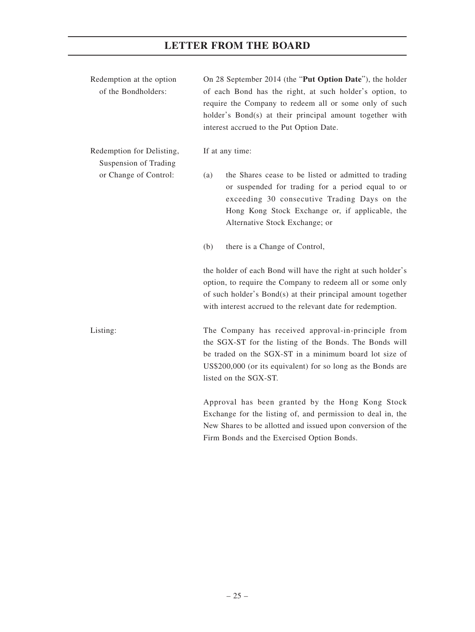| Redemption at the option<br>of the Bondholders:    | On 28 September 2014 (the "Put Option Date"), the holder<br>of each Bond has the right, at such holder's option, to<br>require the Company to redeem all or some only of such<br>holder's Bond(s) at their principal amount together with<br>interest accrued to the Put Option Date. |
|----------------------------------------------------|---------------------------------------------------------------------------------------------------------------------------------------------------------------------------------------------------------------------------------------------------------------------------------------|
| Redemption for Delisting,<br>Suspension of Trading | If at any time:                                                                                                                                                                                                                                                                       |
| or Change of Control:                              | the Shares cease to be listed or admitted to trading<br>(a)<br>or suspended for trading for a period equal to or<br>exceeding 30 consecutive Trading Days on the<br>Hong Kong Stock Exchange or, if applicable, the<br>Alternative Stock Exchange; or                                 |
|                                                    | (b)<br>there is a Change of Control,                                                                                                                                                                                                                                                  |
|                                                    | the holder of each Bond will have the right at such holder's<br>option, to require the Company to redeem all or some only<br>of such holder's Bond(s) at their principal amount together<br>with interest accrued to the relevant date for redemption.                                |
| Listing:                                           | The Company has received approval-in-principle from<br>the SGX-ST for the listing of the Bonds. The Bonds will<br>be traded on the SGX-ST in a minimum board lot size of<br>US\$200,000 (or its equivalent) for so long as the Bonds are<br>listed on the SGX-ST.                     |
|                                                    | Approval has been granted by the Hong Kong Stock<br>Exchange for the listing of and permission to deal in the                                                                                                                                                                         |

nge for the listing of, and pe New Shares to be allotted and issued upon conversion of the Firm Bonds and the Exercised Option Bonds.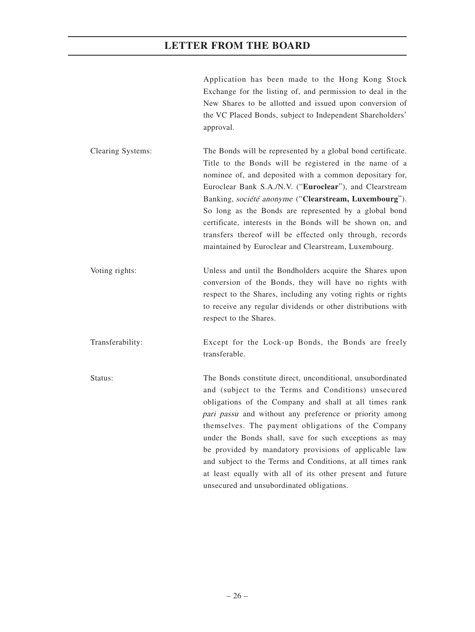Application has been made to the Hong Kong Stock Exchange for the listing of, and permission to deal in the New Shares to be allotted and issued upon conversion of the VC Placed Bonds, subject to Independent Shareholders' approval.

Clearing Systems: The Bonds will be represented by a global bond certificate. Title to the Bonds will be registered in the name of a nominee of, and deposited with a common depositary for, Euroclear Bank S.A./N.V. ("**Euroclear**"), and Clearstream Banking, société anonyme ("**Clearstream, Luxembourg**"). So long as the Bonds are represented by a global bond certificate, interests in the Bonds will be shown on, and transfers thereof will be effected only through, records maintained by Euroclear and Clearstream, Luxembourg.

Voting rights: Unless and until the Bondholders acquire the Shares upon conversion of the Bonds, they will have no rights with respect to the Shares, including any voting rights or rights to receive any regular dividends or other distributions with respect to the Shares.

Transferability: Except for the Lock-up Bonds, the Bonds are freely transferable.

Status: The Bonds constitute direct, unconditional, unsubordinated and (subject to the Terms and Conditions) unsecured obligations of the Company and shall at all times rank pari passu and without any preference or priority among themselves. The payment obligations of the Company under the Bonds shall, save for such exceptions as may be provided by mandatory provisions of applicable law and subject to the Terms and Conditions, at all times rank at least equally with all of its other present and future unsecured and unsubordinated obligations.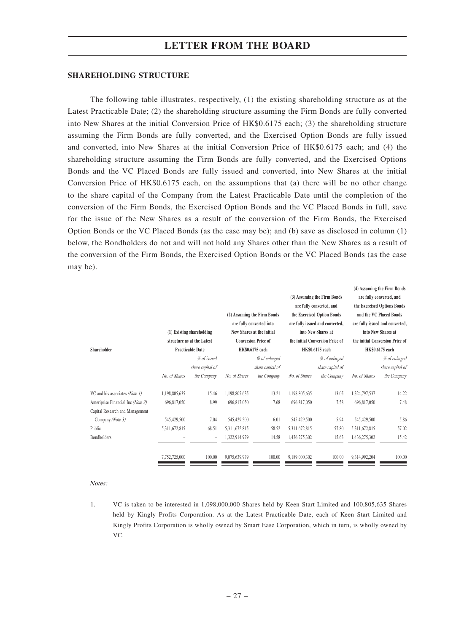#### **SHAREHOLDING STRUCTURE**

The following table illustrates, respectively, (1) the existing shareholding structure as at the Latest Practicable Date; (2) the shareholding structure assuming the Firm Bonds are fully converted into New Shares at the initial Conversion Price of HK\$0.6175 each; (3) the shareholding structure assuming the Firm Bonds are fully converted, and the Exercised Option Bonds are fully issued and converted, into New Shares at the initial Conversion Price of HK\$0.6175 each; and (4) the shareholding structure assuming the Firm Bonds are fully converted, and the Exercised Options Bonds and the VC Placed Bonds are fully issued and converted, into New Shares at the initial Conversion Price of HK\$0.6175 each, on the assumptions that (a) there will be no other change to the share capital of the Company from the Latest Practicable Date until the completion of the conversion of the Firm Bonds, the Exercised Option Bonds and the VC Placed Bonds in full, save for the issue of the New Shares as a result of the conversion of the Firm Bonds, the Exercised Option Bonds or the VC Placed Bonds (as the case may be); and (b) save as disclosed in column (1) below, the Bondholders do not and will not hold any Shares other than the New Shares as a result of the conversion of the Firm Bonds, the Exercised Option Bonds or the VC Placed Bonds (as the case may be).

|                                   |               |                            |               |                             |               |                                 |               | (4) Assuming the Firm Bonds     |
|-----------------------------------|---------------|----------------------------|---------------|-----------------------------|---------------|---------------------------------|---------------|---------------------------------|
|                                   |               |                            |               |                             |               | (3) Assuming the Firm Bonds     |               | are fully converted, and        |
|                                   |               |                            |               |                             |               | are fully converted, and        |               | the Exercised Options Bonds     |
|                                   |               |                            |               | (2) Assuming the Firm Bonds |               | the Exercised Option Bonds      |               | and the VC Placed Bonds         |
|                                   |               |                            |               | are fully converted into    |               | are fully issued and converted, |               | are fully issued and converted, |
|                                   |               | (1) Existing shareholding  |               | New Shares at the initial   |               | into New Shares at              |               | into New Shares at              |
|                                   |               | structure as at the Latest |               | <b>Conversion Price of</b>  |               | the initial Conversion Price of |               | the initial Conversion Price of |
| Shareholder                       |               | <b>Practicable Date</b>    |               | HK\$0.6175 each             |               | HK\$0.6175 each                 |               | HK\$0.6175 each                 |
|                                   |               | % of issued                |               | % of enlarged               |               | % of enlarged                   |               | % of enlarged                   |
|                                   |               | share capital of           |               | share capital of            |               | share capital of                |               | share capital of                |
|                                   | No. of Shares | the Company                | No. of Shares | the Company                 | No. of Shares | the Company                     | No. of Shares | the Company                     |
| VC and his associates (Note 1)    | 1,198,805,635 | 15.46                      | 1,198,805,635 | 13.21                       | 1,198,805,635 | 13.05                           | 1,324,797,537 | 14.22                           |
| Ameriprise Financial Inc (Note 2) | 696,817,050   | 8.99                       | 696,817,050   | 7.68                        | 696,817,050   | 7.58                            | 696,817,050   | 7.48                            |
| Capital Research and Management   |               |                            |               |                             |               |                                 |               |                                 |
| Company (Note 3)                  | 545,429,500   | 7.04                       | 545,429,500   | 6.01                        | 545,429,500   | 5.94                            | 545,429,500   | 5.86                            |
| Public                            | 5,311,672,815 | 68.51                      | 5,311,672,815 | 58.52                       | 5,311,672,815 | 57.80                           | 5,311,672,815 | 57.02                           |
| <b>Bondholders</b>                |               |                            | 1,322,914,979 | 14.58                       | 1,436,275,302 | 15.63                           | 1,436,275,302 | 15.42                           |
|                                   | 7,752,725,000 | 100.00                     | 9,075,639,979 | 100.00                      | 9,189,000,302 | 100.00                          | 9,314,992,204 | 100.00                          |

Notes:

1. VC is taken to be interested in 1,098,000,000 Shares held by Keen Start Limited and 100,805,635 Shares held by Kingly Profits Corporation. As at the Latest Practicable Date, each of Keen Start Limited and Kingly Profits Corporation is wholly owned by Smart Ease Corporation, which in turn, is wholly owned by VC.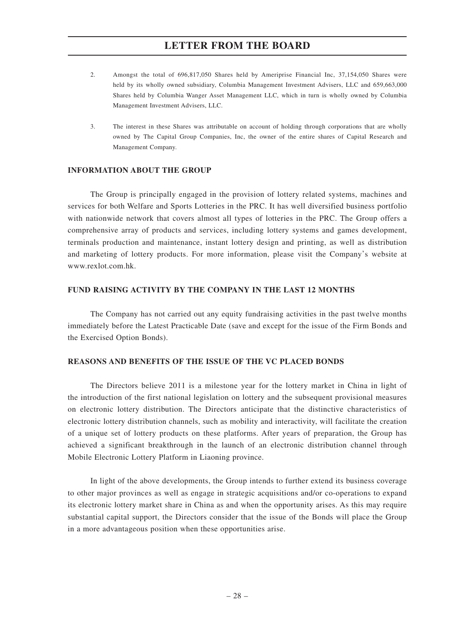- 2. Amongst the total of 696,817,050 Shares held by Ameriprise Financial Inc, 37,154,050 Shares were held by its wholly owned subsidiary, Columbia Management Investment Advisers, LLC and 659,663,000 Shares held by Columbia Wanger Asset Management LLC, which in turn is wholly owned by Columbia Management Investment Advisers, LLC.
- 3. The interest in these Shares was attributable on account of holding through corporations that are wholly owned by The Capital Group Companies, Inc, the owner of the entire shares of Capital Research and Management Company.

#### **INFORMATION ABOUT THE GROUP**

The Group is principally engaged in the provision of lottery related systems, machines and services for both Welfare and Sports Lotteries in the PRC. It has well diversified business portfolio with nationwide network that covers almost all types of lotteries in the PRC. The Group offers a comprehensive array of products and services, including lottery systems and games development, terminals production and maintenance, instant lottery design and printing, as well as distribution and marketing of lottery products. For more information, please visit the Company's website at www.rexlot.com.hk.

#### **FUND RAISING ACTIVITY BY THE COMPANY IN THE LAST 12 MONTHS**

The Company has not carried out any equity fundraising activities in the past twelve months immediately before the Latest Practicable Date (save and except for the issue of the Firm Bonds and the Exercised Option Bonds).

#### **REASONS AND BENEFITS OF THE ISSUE OF THE VC PLACED BONDS**

The Directors believe 2011 is a milestone year for the lottery market in China in light of the introduction of the first national legislation on lottery and the subsequent provisional measures on electronic lottery distribution. The Directors anticipate that the distinctive characteristics of electronic lottery distribution channels, such as mobility and interactivity, will facilitate the creation of a unique set of lottery products on these platforms. After years of preparation, the Group has achieved a significant breakthrough in the launch of an electronic distribution channel through Mobile Electronic Lottery Platform in Liaoning province.

In light of the above developments, the Group intends to further extend its business coverage to other major provinces as well as engage in strategic acquisitions and/or co-operations to expand its electronic lottery market share in China as and when the opportunity arises. As this may require substantial capital support, the Directors consider that the issue of the Bonds will place the Group in a more advantageous position when these opportunities arise.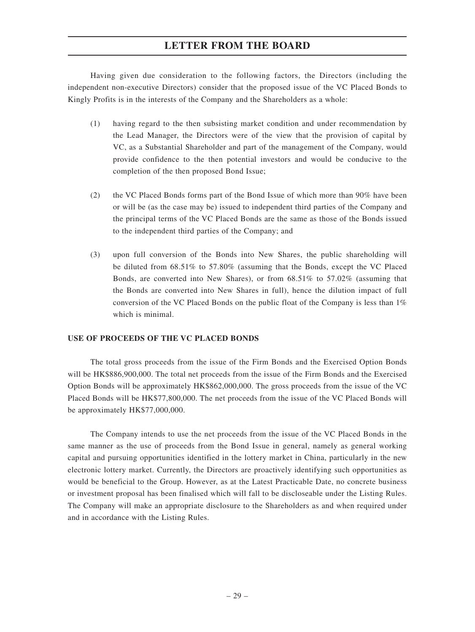Having given due consideration to the following factors, the Directors (including the independent non-executive Directors) consider that the proposed issue of the VC Placed Bonds to Kingly Profits is in the interests of the Company and the Shareholders as a whole:

- (1) having regard to the then subsisting market condition and under recommendation by the Lead Manager, the Directors were of the view that the provision of capital by VC, as a Substantial Shareholder and part of the management of the Company, would provide confidence to the then potential investors and would be conducive to the completion of the then proposed Bond Issue;
- (2) the VC Placed Bonds forms part of the Bond Issue of which more than 90% have been or will be (as the case may be) issued to independent third parties of the Company and the principal terms of the VC Placed Bonds are the same as those of the Bonds issued to the independent third parties of the Company; and
- (3) upon full conversion of the Bonds into New Shares, the public shareholding will be diluted from 68.51% to 57.80% (assuming that the Bonds, except the VC Placed Bonds, are converted into New Shares), or from 68.51% to 57.02% (assuming that the Bonds are converted into New Shares in full), hence the dilution impact of full conversion of the VC Placed Bonds on the public float of the Company is less than 1% which is minimal.

### **USE OF PROCEEDS OF THE VC PLACED BONDS**

The total gross proceeds from the issue of the Firm Bonds and the Exercised Option Bonds will be HK\$886,900,000. The total net proceeds from the issue of the Firm Bonds and the Exercised Option Bonds will be approximately HK\$862,000,000. The gross proceeds from the issue of the VC Placed Bonds will be HK\$77,800,000. The net proceeds from the issue of the VC Placed Bonds will be approximately HK\$77,000,000.

The Company intends to use the net proceeds from the issue of the VC Placed Bonds in the same manner as the use of proceeds from the Bond Issue in general, namely as general working capital and pursuing opportunities identified in the lottery market in China, particularly in the new electronic lottery market. Currently, the Directors are proactively identifying such opportunities as would be beneficial to the Group. However, as at the Latest Practicable Date, no concrete business or investment proposal has been finalised which will fall to be discloseable under the Listing Rules. The Company will make an appropriate disclosure to the Shareholders as and when required under and in accordance with the Listing Rules.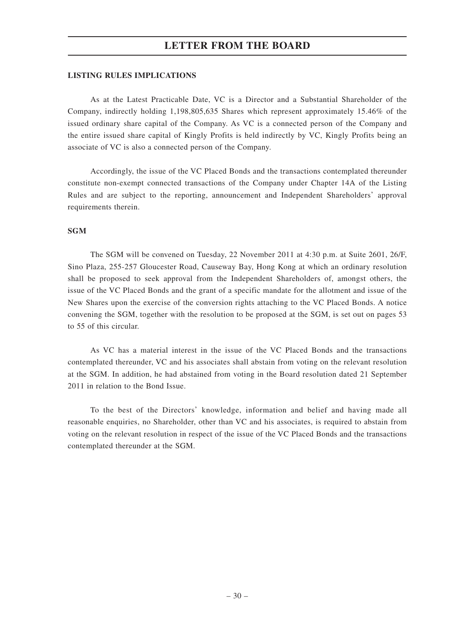#### **LISTING RULES IMPLICATIONS**

As at the Latest Practicable Date, VC is a Director and a Substantial Shareholder of the Company, indirectly holding 1,198,805,635 Shares which represent approximately 15.46% of the issued ordinary share capital of the Company. As VC is a connected person of the Company and the entire issued share capital of Kingly Profits is held indirectly by VC, Kingly Profits being an associate of VC is also a connected person of the Company.

Accordingly, the issue of the VC Placed Bonds and the transactions contemplated thereunder constitute non-exempt connected transactions of the Company under Chapter 14A of the Listing Rules and are subject to the reporting, announcement and Independent Shareholders' approval requirements therein.

#### **SGM**

The SGM will be convened on Tuesday, 22 November 2011 at 4:30 p.m. at Suite 2601, 26/F, Sino Plaza, 255-257 Gloucester Road, Causeway Bay, Hong Kong at which an ordinary resolution shall be proposed to seek approval from the Independent Shareholders of, amongst others, the issue of the VC Placed Bonds and the grant of a specific mandate for the allotment and issue of the New Shares upon the exercise of the conversion rights attaching to the VC Placed Bonds. A notice convening the SGM, together with the resolution to be proposed at the SGM, is set out on pages 53 to 55 of this circular.

As VC has a material interest in the issue of the VC Placed Bonds and the transactions contemplated thereunder, VC and his associates shall abstain from voting on the relevant resolution at the SGM. In addition, he had abstained from voting in the Board resolution dated 21 September 2011 in relation to the Bond Issue.

To the best of the Directors' knowledge, information and belief and having made all reasonable enquiries, no Shareholder, other than VC and his associates, is required to abstain from voting on the relevant resolution in respect of the issue of the VC Placed Bonds and the transactions contemplated thereunder at the SGM.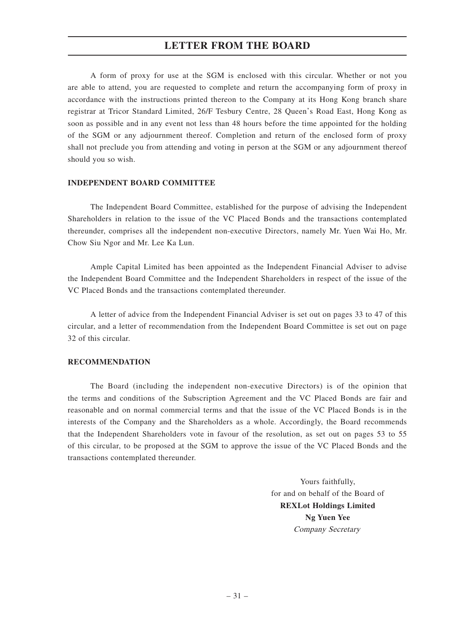A form of proxy for use at the SGM is enclosed with this circular. Whether or not you are able to attend, you are requested to complete and return the accompanying form of proxy in accordance with the instructions printed thereon to the Company at its Hong Kong branch share registrar at Tricor Standard Limited, 26/F Tesbury Centre, 28 Queen's Road East, Hong Kong as soon as possible and in any event not less than 48 hours before the time appointed for the holding of the SGM or any adjournment thereof. Completion and return of the enclosed form of proxy shall not preclude you from attending and voting in person at the SGM or any adjournment thereof should you so wish.

#### **INDEPENDENT BOARD COMMITTEE**

The Independent Board Committee, established for the purpose of advising the Independent Shareholders in relation to the issue of the VC Placed Bonds and the transactions contemplated thereunder, comprises all the independent non-executive Directors, namely Mr. Yuen Wai Ho, Mr. Chow Siu Ngor and Mr. Lee Ka Lun.

Ample Capital Limited has been appointed as the Independent Financial Adviser to advise the Independent Board Committee and the Independent Shareholders in respect of the issue of the VC Placed Bonds and the transactions contemplated thereunder.

A letter of advice from the Independent Financial Adviser is set out on pages 33 to 47 of this circular, and a letter of recommendation from the Independent Board Committee is set out on page 32 of this circular.

#### **RECOMMENDATION**

The Board (including the independent non-executive Directors) is of the opinion that the terms and conditions of the Subscription Agreement and the VC Placed Bonds are fair and reasonable and on normal commercial terms and that the issue of the VC Placed Bonds is in the interests of the Company and the Shareholders as a whole. Accordingly, the Board recommends that the Independent Shareholders vote in favour of the resolution, as set out on pages 53 to 55 of this circular, to be proposed at the SGM to approve the issue of the VC Placed Bonds and the transactions contemplated thereunder.

> Yours faithfully, for and on behalf of the Board of **REXLot Holdings Limited Ng Yuen Yee** Company Secretary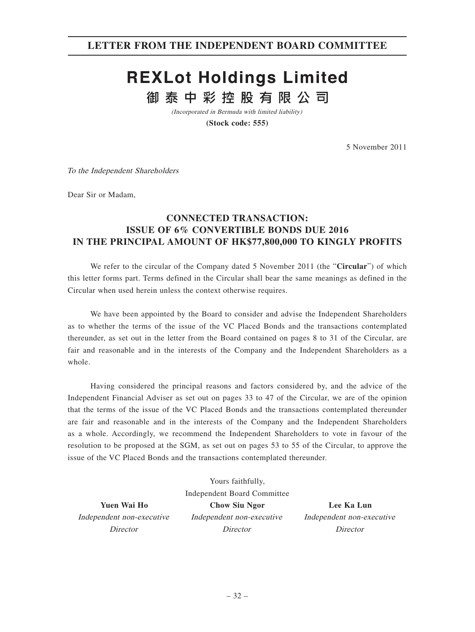# **REXLot Holdings Limited** 御泰中彩控股有限公司

(Incorporated in Bermuda with limited liability)

**(Stock code: 555)**

5 November 2011

To the Independent Shareholders

Dear Sir or Madam,

# **CONNECTED TRANSACTION: ISSUE OF 6% CONVERTIBLE BONDS DUE 2016 IN THE PRINCIPAL AMOUNT OF HK\$77,800,000 TO KINGLY PROFITS**

We refer to the circular of the Company dated 5 November 2011 (the "**Circular**") of which this letter forms part. Terms defined in the Circular shall bear the same meanings as defined in the Circular when used herein unless the context otherwise requires.

We have been appointed by the Board to consider and advise the Independent Shareholders as to whether the terms of the issue of the VC Placed Bonds and the transactions contemplated thereunder, as set out in the letter from the Board contained on pages 8 to 31 of the Circular, are fair and reasonable and in the interests of the Company and the Independent Shareholders as a whole.

Having considered the principal reasons and factors considered by, and the advice of the Independent Financial Adviser as set out on pages 33 to 47 of the Circular, we are of the opinion that the terms of the issue of the VC Placed Bonds and the transactions contemplated thereunder are fair and reasonable and in the interests of the Company and the Independent Shareholders as a whole. Accordingly, we recommend the Independent Shareholders to vote in favour of the resolution to be proposed at the SGM, as set out on pages 53 to 55 of the Circular, to approve the issue of the VC Placed Bonds and the transactions contemplated thereunder.

Independent non-executive Director

Yours faithfully, Independent Board Committee **Yuen Wai Ho Chow Siu Ngor Lee Ka Lun** Independent non-executive **Director** 

Independent non-executive **Director**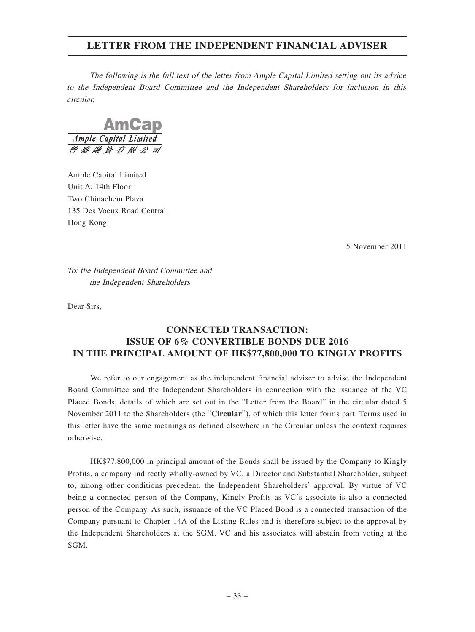The following is the full text of the letter from Ample Capital Limited setting out its advice to the Independent Board Committee and the Independent Shareholders for inclusion in this circular.

**AmGar** Ample Capital Limited 豐盛融資有限公

Ample Capital Limited Unit A, 14th Floor Two Chinachem Plaza 135 Des Voeux Road Central Hong Kong

5 November 2011

To: the Independent Board Committee and the Independent Shareholders

Dear Sirs,

# **CONNECTED TRANSACTION: ISSUE OF 6% CONVERTIBLE BONDS DUE 2016 IN THE PRINCIPAL AMOUNT OF HK\$77,800,000 TO KINGLY PROFITS**

We refer to our engagement as the independent financial adviser to advise the Independent Board Committee and the Independent Shareholders in connection with the issuance of the VC Placed Bonds, details of which are set out in the "Letter from the Board" in the circular dated 5 November 2011 to the Shareholders (the "**Circular**"), of which this letter forms part. Terms used in this letter have the same meanings as defined elsewhere in the Circular unless the context requires otherwise.

HK\$77,800,000 in principal amount of the Bonds shall be issued by the Company to Kingly Profits, a company indirectly wholly-owned by VC, a Director and Substantial Shareholder, subject to, among other conditions precedent, the Independent Shareholders' approval. By virtue of VC being a connected person of the Company, Kingly Profits as VC's associate is also a connected person of the Company. As such, issuance of the VC Placed Bond is a connected transaction of the Company pursuant to Chapter 14A of the Listing Rules and is therefore subject to the approval by the Independent Shareholders at the SGM. VC and his associates will abstain from voting at the SGM.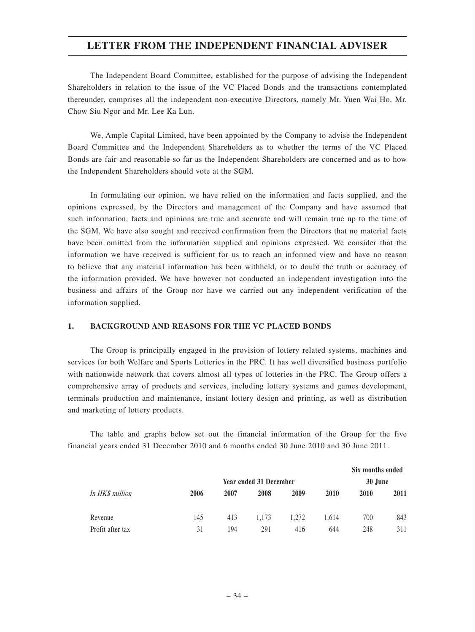The Independent Board Committee, established for the purpose of advising the Independent Shareholders in relation to the issue of the VC Placed Bonds and the transactions contemplated thereunder, comprises all the independent non-executive Directors, namely Mr. Yuen Wai Ho, Mr. Chow Siu Ngor and Mr. Lee Ka Lun.

We, Ample Capital Limited, have been appointed by the Company to advise the Independent Board Committee and the Independent Shareholders as to whether the terms of the VC Placed Bonds are fair and reasonable so far as the Independent Shareholders are concerned and as to how the Independent Shareholders should vote at the SGM.

In formulating our opinion, we have relied on the information and facts supplied, and the opinions expressed, by the Directors and management of the Company and have assumed that such information, facts and opinions are true and accurate and will remain true up to the time of the SGM. We have also sought and received confirmation from the Directors that no material facts have been omitted from the information supplied and opinions expressed. We consider that the information we have received is sufficient for us to reach an informed view and have no reason to believe that any material information has been withheld, or to doubt the truth or accuracy of the information provided. We have however not conducted an independent investigation into the business and affairs of the Group nor have we carried out any independent verification of the information supplied.

#### **1. BACKGROUND AND REASONS FOR THE VC PLACED BONDS**

The Group is principally engaged in the provision of lottery related systems, machines and services for both Welfare and Sports Lotteries in the PRC. It has well diversified business portfolio with nationwide network that covers almost all types of lotteries in the PRC. The Group offers a comprehensive array of products and services, including lottery systems and games development, terminals production and maintenance, instant lottery design and printing, as well as distribution and marketing of lottery products.

The table and graphs below set out the financial information of the Group for the five financial years ended 31 December 2010 and 6 months ended 30 June 2010 and 30 June 2011.

|                  |      |      |                        |       |       | Six months ended |      |
|------------------|------|------|------------------------|-------|-------|------------------|------|
|                  |      |      | Year ended 31 December |       |       | 30 June          |      |
| In HK\$ million  | 2006 | 2007 | 2008                   | 2009  | 2010  | 2010             | 2011 |
| Revenue          | 145  | 413  | 1.173                  | 1.272 | 1.614 | 700              | 843  |
| Profit after tax | 31   | 194  | 291                    | 416   | 644   | 248              | 311  |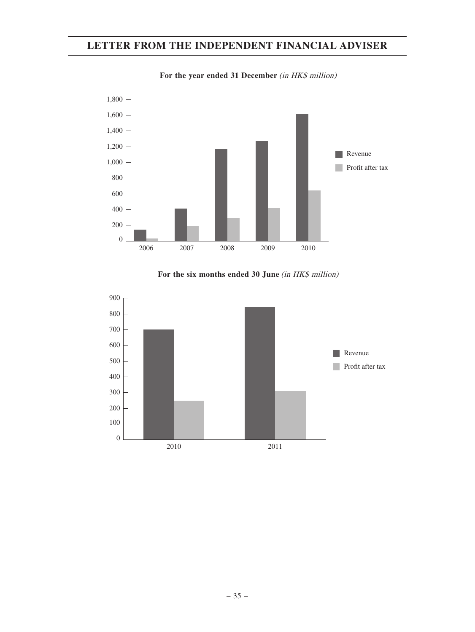

For the year ended 31 December (in HK\$ million)

For the six months ended 30 June (in HK\$ million)

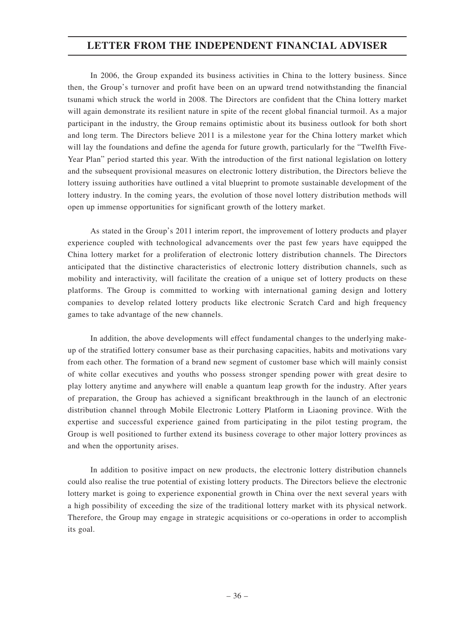In 2006, the Group expanded its business activities in China to the lottery business. Since then, the Group's turnover and profit have been on an upward trend notwithstanding the financial tsunami which struck the world in 2008. The Directors are confident that the China lottery market will again demonstrate its resilient nature in spite of the recent global financial turmoil. As a major participant in the industry, the Group remains optimistic about its business outlook for both short and long term. The Directors believe 2011 is a milestone year for the China lottery market which will lay the foundations and define the agenda for future growth, particularly for the "Twelfth Five-Year Plan" period started this year. With the introduction of the first national legislation on lottery and the subsequent provisional measures on electronic lottery distribution, the Directors believe the lottery issuing authorities have outlined a vital blueprint to promote sustainable development of the lottery industry. In the coming years, the evolution of those novel lottery distribution methods will open up immense opportunities for significant growth of the lottery market.

As stated in the Group's 2011 interim report, the improvement of lottery products and player experience coupled with technological advancements over the past few years have equipped the China lottery market for a proliferation of electronic lottery distribution channels. The Directors anticipated that the distinctive characteristics of electronic lottery distribution channels, such as mobility and interactivity, will facilitate the creation of a unique set of lottery products on these platforms. The Group is committed to working with international gaming design and lottery companies to develop related lottery products like electronic Scratch Card and high frequency games to take advantage of the new channels.

In addition, the above developments will effect fundamental changes to the underlying makeup of the stratified lottery consumer base as their purchasing capacities, habits and motivations vary from each other. The formation of a brand new segment of customer base which will mainly consist of white collar executives and youths who possess stronger spending power with great desire to play lottery anytime and anywhere will enable a quantum leap growth for the industry. After years of preparation, the Group has achieved a significant breakthrough in the launch of an electronic distribution channel through Mobile Electronic Lottery Platform in Liaoning province. With the expertise and successful experience gained from participating in the pilot testing program, the Group is well positioned to further extend its business coverage to other major lottery provinces as and when the opportunity arises.

In addition to positive impact on new products, the electronic lottery distribution channels could also realise the true potential of existing lottery products. The Directors believe the electronic lottery market is going to experience exponential growth in China over the next several years with a high possibility of exceeding the size of the traditional lottery market with its physical network. Therefore, the Group may engage in strategic acquisitions or co-operations in order to accomplish its goal.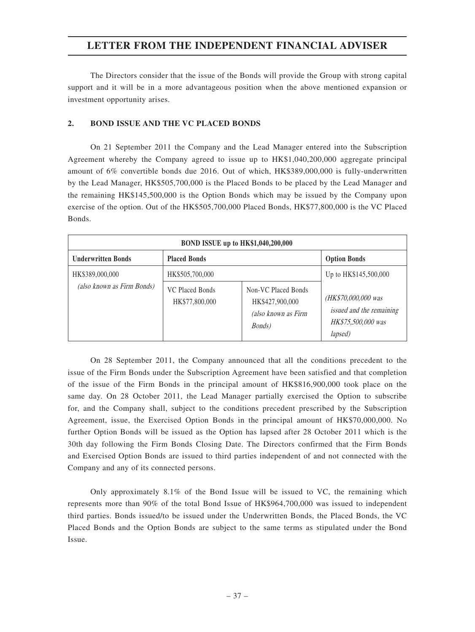The Directors consider that the issue of the Bonds will provide the Group with strong capital support and it will be in a more advantageous position when the above mentioned expansion or investment opportunity arises.

#### **2. BOND ISSUE AND THE VC PLACED BONDS**

On 21 September 2011 the Company and the Lead Manager entered into the Subscription Agreement whereby the Company agreed to issue up to HK\$1,040,200,000 aggregate principal amount of 6% convertible bonds due 2016. Out of which, HK\$389,000,000 is fully-underwritten by the Lead Manager, HK\$505,700,000 is the Placed Bonds to be placed by the Lead Manager and the remaining HK\$145,500,000 is the Option Bonds which may be issued by the Company upon exercise of the option. Out of the HK\$505,700,000 Placed Bonds, HK\$77,800,000 is the VC Placed Bonds.

| BOND ISSUE up to HK\$1,040,200,000 |                                   |                                                                                 |                                                                                  |  |  |
|------------------------------------|-----------------------------------|---------------------------------------------------------------------------------|----------------------------------------------------------------------------------|--|--|
| <b>Underwritten Bonds</b>          | <b>Placed Bonds</b>               |                                                                                 | <b>Option Bonds</b>                                                              |  |  |
| HK\$389,000,000                    | HK\$505,700,000                   |                                                                                 | Up to HK\$145,500,000                                                            |  |  |
| (also known as Firm Bonds)         | VC Placed Bonds<br>HK\$77,800,000 | Non-VC Placed Bonds<br>HK\$427,900,000<br>(also known as Firm<br><i>Bonds</i> ) | (HK\$70,000,000 was<br>issued and the remaining<br>HK\$75,500,000 was<br>lapsed) |  |  |

On 28 September 2011, the Company announced that all the conditions precedent to the issue of the Firm Bonds under the Subscription Agreement have been satisfied and that completion of the issue of the Firm Bonds in the principal amount of HK\$816,900,000 took place on the same day. On 28 October 2011, the Lead Manager partially exercised the Option to subscribe for, and the Company shall, subject to the conditions precedent prescribed by the Subscription Agreement, issue, the Exercised Option Bonds in the principal amount of HK\$70,000,000. No further Option Bonds will be issued as the Option has lapsed after 28 October 2011 which is the 30th day following the Firm Bonds Closing Date. The Directors confirmed that the Firm Bonds and Exercised Option Bonds are issued to third parties independent of and not connected with the Company and any of its connected persons.

Only approximately 8.1% of the Bond Issue will be issued to VC, the remaining which represents more than 90% of the total Bond Issue of HK\$964,700,000 was issued to independent third parties. Bonds issued/to be issued under the Underwritten Bonds, the Placed Bonds, the VC Placed Bonds and the Option Bonds are subject to the same terms as stipulated under the Bond Issue.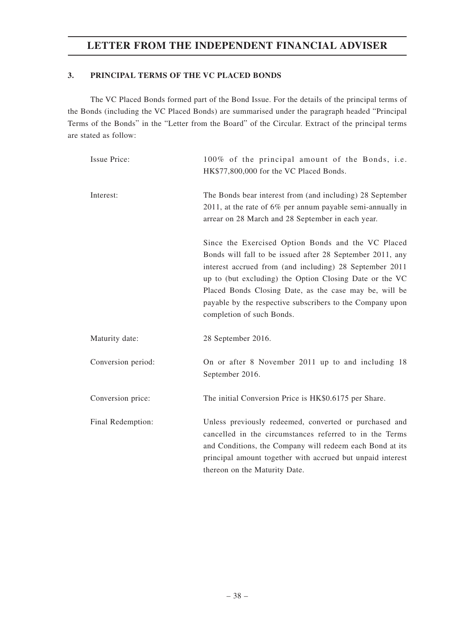### **3. PRINCIPAL TERMS OF THE VC PLACED BONDS**

The VC Placed Bonds formed part of the Bond Issue. For the details of the principal terms of the Bonds (including the VC Placed Bonds) are summarised under the paragraph headed "Principal Terms of the Bonds" in the "Letter from the Board" of the Circular. Extract of the principal terms are stated as follow:

| <b>Issue Price:</b> | 100% of the principal amount of the Bonds, i.e.<br>HK\$77,800,000 for the VC Placed Bonds.                                                                                                                                                                                                                                                                                                |
|---------------------|-------------------------------------------------------------------------------------------------------------------------------------------------------------------------------------------------------------------------------------------------------------------------------------------------------------------------------------------------------------------------------------------|
| Interest:           | The Bonds bear interest from (and including) 28 September<br>2011, at the rate of $6\%$ per annum payable semi-annually in<br>arrear on 28 March and 28 September in each year.                                                                                                                                                                                                           |
|                     | Since the Exercised Option Bonds and the VC Placed<br>Bonds will fall to be issued after 28 September 2011, any<br>interest accrued from (and including) 28 September 2011<br>up to (but excluding) the Option Closing Date or the VC<br>Placed Bonds Closing Date, as the case may be, will be<br>payable by the respective subscribers to the Company upon<br>completion of such Bonds. |
| Maturity date:      | 28 September 2016.                                                                                                                                                                                                                                                                                                                                                                        |
| Conversion period:  | On or after 8 November 2011 up to and including 18<br>September 2016.                                                                                                                                                                                                                                                                                                                     |
| Conversion price:   | The initial Conversion Price is HK\$0.6175 per Share.                                                                                                                                                                                                                                                                                                                                     |
| Final Redemption:   | Unless previously redeemed, converted or purchased and<br>cancelled in the circumstances referred to in the Terms<br>and Conditions, the Company will redeem each Bond at its<br>principal amount together with accrued but unpaid interest<br>thereon on the Maturity Date.                                                                                                              |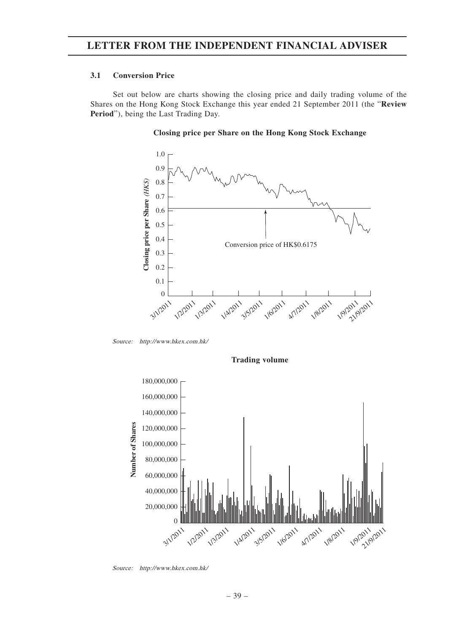#### **3.1 Conversion Price**

Set out below are charts showing the closing price and daily trading volume of the Shares on the Hong Kong Stock Exchange this year ended 21 September 2011 (the "**Review Period**"), being the Last Trading Day.



#### **Closing price per Share on the Hong Kong Stock Exchange**

Source: http://www.hkex.com.hk/



**Trading volume**

Source: http://www.hkex.com.hk/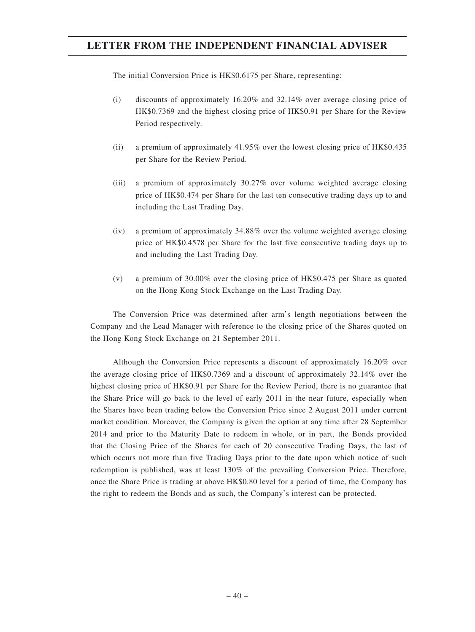The initial Conversion Price is HK\$0.6175 per Share, representing:

- (i) discounts of approximately 16.20% and 32.14% over average closing price of HK\$0.7369 and the highest closing price of HK\$0.91 per Share for the Review Period respectively.
- (ii) a premium of approximately 41.95% over the lowest closing price of HK\$0.435 per Share for the Review Period.
- (iii) a premium of approximately 30.27% over volume weighted average closing price of HK\$0.474 per Share for the last ten consecutive trading days up to and including the Last Trading Day.
- (iv) a premium of approximately 34.88% over the volume weighted average closing price of HK\$0.4578 per Share for the last five consecutive trading days up to and including the Last Trading Day.
- (v) a premium of 30.00% over the closing price of HK\$0.475 per Share as quoted on the Hong Kong Stock Exchange on the Last Trading Day.

The Conversion Price was determined after arm's length negotiations between the Company and the Lead Manager with reference to the closing price of the Shares quoted on the Hong Kong Stock Exchange on 21 September 2011.

Although the Conversion Price represents a discount of approximately 16.20% over the average closing price of HK\$0.7369 and a discount of approximately 32.14% over the highest closing price of HK\$0.91 per Share for the Review Period, there is no guarantee that the Share Price will go back to the level of early 2011 in the near future, especially when the Shares have been trading below the Conversion Price since 2 August 2011 under current market condition. Moreover, the Company is given the option at any time after 28 September 2014 and prior to the Maturity Date to redeem in whole, or in part, the Bonds provided that the Closing Price of the Shares for each of 20 consecutive Trading Days, the last of which occurs not more than five Trading Days prior to the date upon which notice of such redemption is published, was at least 130% of the prevailing Conversion Price. Therefore, once the Share Price is trading at above HK\$0.80 level for a period of time, the Company has the right to redeem the Bonds and as such, the Company's interest can be protected.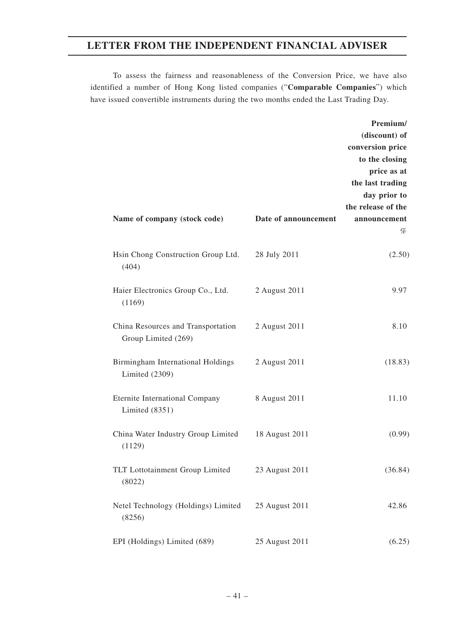To assess the fairness and reasonableness of the Conversion Price, we have also identified a number of Hong Kong listed companies ("**Comparable Companies**") which have issued convertible instruments during the two months ended the Last Trading Day.

**Premium/**

| Name of company (stock code)                              | Date of announcement | (discount) of<br>conversion price<br>to the closing<br>price as at<br>the last trading<br>day prior to<br>the release of the<br>announcement<br>% |
|-----------------------------------------------------------|----------------------|---------------------------------------------------------------------------------------------------------------------------------------------------|
| Hsin Chong Construction Group Ltd.<br>(404)               | 28 July 2011         | (2.50)                                                                                                                                            |
| Haier Electronics Group Co., Ltd.<br>(1169)               | 2 August 2011        | 9.97                                                                                                                                              |
| China Resources and Transportation<br>Group Limited (269) | 2 August 2011        | 8.10                                                                                                                                              |
| Birmingham International Holdings<br>Limited $(2309)$     | 2 August 2011        | (18.83)                                                                                                                                           |
| Eternite International Company<br>Limited $(8351)$        | 8 August 2011        | 11.10                                                                                                                                             |
| China Water Industry Group Limited<br>(1129)              | 18 August 2011       | (0.99)                                                                                                                                            |
| TLT Lottotainment Group Limited<br>(8022)                 | 23 August 2011       | (36.84)                                                                                                                                           |
| Netel Technology (Holdings) Limited<br>(8256)             | 25 August 2011       | 42.86                                                                                                                                             |
| EPI (Holdings) Limited (689)                              | 25 August 2011       | (6.25)                                                                                                                                            |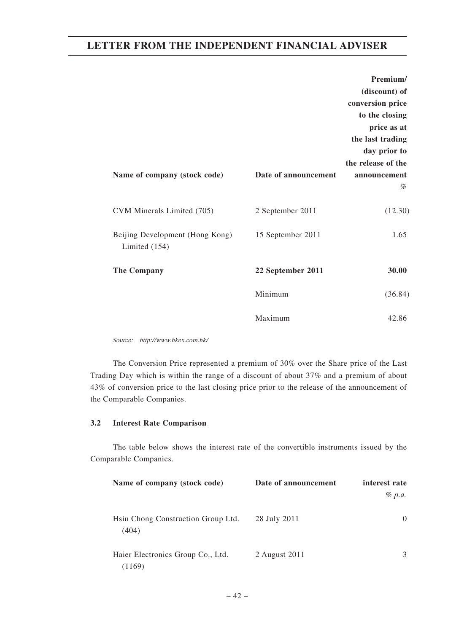|                                                  |                      | Premium/           |
|--------------------------------------------------|----------------------|--------------------|
|                                                  |                      | (discount) of      |
|                                                  |                      | conversion price   |
|                                                  |                      | to the closing     |
|                                                  |                      | price as at        |
|                                                  |                      | the last trading   |
|                                                  |                      | day prior to       |
|                                                  |                      | the release of the |
| Name of company (stock code)                     | Date of announcement | announcement       |
|                                                  |                      | %                  |
| CVM Minerals Limited (705)                       | 2 September 2011     | (12.30)            |
| Beijing Development (Hong Kong)<br>Limited (154) | 15 September 2011    | 1.65               |
| The Company                                      | 22 September 2011    | 30.00              |
|                                                  | Minimum              | (36.84)            |
|                                                  | Maximum              | 42.86              |

Source: http://www.hkex.com.hk/

The Conversion Price represented a premium of 30% over the Share price of the Last Trading Day which is within the range of a discount of about 37% and a premium of about 43% of conversion price to the last closing price prior to the release of the announcement of the Comparable Companies.

#### **3.2 Interest Rate Comparison**

The table below shows the interest rate of the convertible instruments issued by the Comparable Companies.

| Name of company (stock code)                | Date of announcement | interest rate |
|---------------------------------------------|----------------------|---------------|
|                                             |                      | $\%$ p.a.     |
| Hsin Chong Construction Group Ltd.<br>(404) | 28 July 2011         | $\Omega$      |
| Haier Electronics Group Co., Ltd.<br>(1169) | 2 August 2011        | 3             |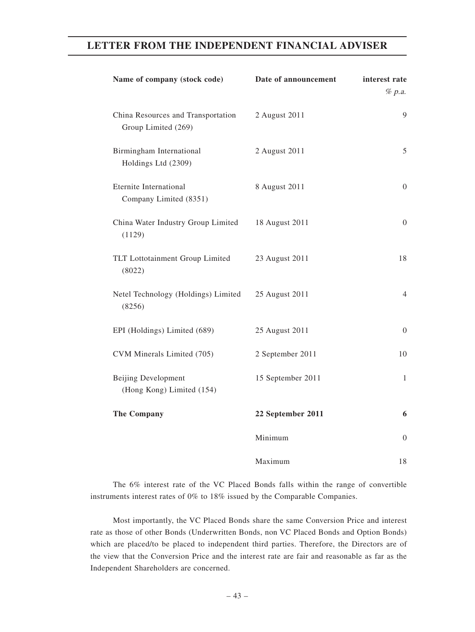| Name of company (stock code)                              | Date of announcement | interest rate<br>% p.a. |
|-----------------------------------------------------------|----------------------|-------------------------|
| China Resources and Transportation<br>Group Limited (269) | 2 August 2011        | 9                       |
| Birmingham International<br>Holdings Ltd (2309)           | 2 August 2011        | 5                       |
| Eternite International<br>Company Limited (8351)          | 8 August 2011        | $\overline{0}$          |
| China Water Industry Group Limited<br>(1129)              | 18 August 2011       | $\boldsymbol{0}$        |
| TLT Lottotainment Group Limited<br>(8022)                 | 23 August 2011       | 18                      |
| Netel Technology (Holdings) Limited<br>(8256)             | 25 August 2011       | $\overline{4}$          |
| EPI (Holdings) Limited (689)                              | 25 August 2011       | $\overline{0}$          |
| CVM Minerals Limited (705)                                | 2 September 2011     | 10                      |
| <b>Beijing Development</b><br>(Hong Kong) Limited (154)   | 15 September 2011    | 1                       |
| The Company                                               | 22 September 2011    | 6                       |
|                                                           | Minimum              | $\overline{0}$          |
|                                                           | Maximum              | 18                      |

The 6% interest rate of the VC Placed Bonds falls within the range of convertible instruments interest rates of 0% to 18% issued by the Comparable Companies.

Most importantly, the VC Placed Bonds share the same Conversion Price and interest rate as those of other Bonds (Underwritten Bonds, non VC Placed Bonds and Option Bonds) which are placed/to be placed to independent third parties. Therefore, the Directors are of the view that the Conversion Price and the interest rate are fair and reasonable as far as the Independent Shareholders are concerned.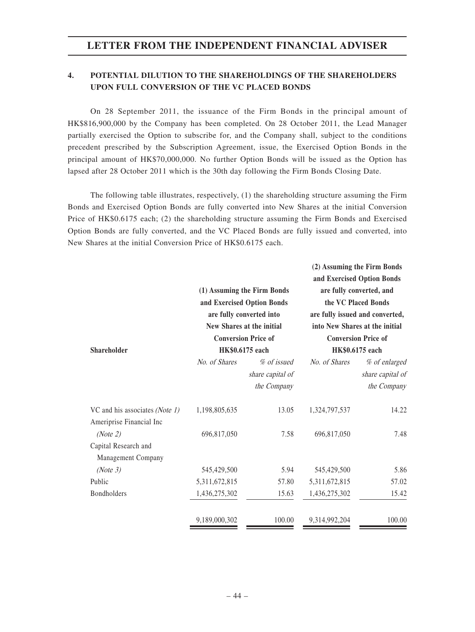## **4. POTENTIAL DILUTION TO THE SHAREHOLDINGS OF THE SHAREHOLDERS UPON FULL CONVERSION OF THE VC PLACED BONDS**

On 28 September 2011, the issuance of the Firm Bonds in the principal amount of HK\$816,900,000 by the Company has been completed. On 28 October 2011, the Lead Manager partially exercised the Option to subscribe for, and the Company shall, subject to the conditions precedent prescribed by the Subscription Agreement, issue, the Exercised Option Bonds in the principal amount of HK\$70,000,000. No further Option Bonds will be issued as the Option has lapsed after 28 October 2011 which is the 30th day following the Firm Bonds Closing Date.

The following table illustrates, respectively, (1) the shareholding structure assuming the Firm Bonds and Exercised Option Bonds are fully converted into New Shares at the initial Conversion Price of HK\$0.6175 each; (2) the shareholding structure assuming the Firm Bonds and Exercised Option Bonds are fully converted, and the VC Placed Bonds are fully issued and converted, into New Shares at the initial Conversion Price of HK\$0.6175 each.

| Shareholder                    |               | (1) Assuming the Firm Bonds<br>and Exercised Option Bonds<br>are fully converted into<br>New Shares at the initial<br><b>Conversion Price of</b><br>HK\$0.6175 each |               | (2) Assuming the Firm Bonds<br>and Exercised Option Bonds<br>are fully converted, and<br>the VC Placed Bonds<br>are fully issued and converted,<br>into New Shares at the initial<br><b>Conversion Price of</b><br>HK\$0.6175 each |
|--------------------------------|---------------|---------------------------------------------------------------------------------------------------------------------------------------------------------------------|---------------|------------------------------------------------------------------------------------------------------------------------------------------------------------------------------------------------------------------------------------|
|                                | No. of Shares | % of issued                                                                                                                                                         | No. of Shares | % of enlarged                                                                                                                                                                                                                      |
|                                |               | share capital of                                                                                                                                                    |               | share capital of                                                                                                                                                                                                                   |
|                                |               | the Company                                                                                                                                                         |               | the Company                                                                                                                                                                                                                        |
| VC and his associates (Note 1) | 1,198,805,635 | 13.05                                                                                                                                                               | 1,324,797,537 | 14.22                                                                                                                                                                                                                              |
| Ameriprise Financial Inc       |               |                                                                                                                                                                     |               |                                                                                                                                                                                                                                    |
| (Note 2)                       | 696,817,050   | 7.58                                                                                                                                                                | 696,817,050   | 7.48                                                                                                                                                                                                                               |
| Capital Research and           |               |                                                                                                                                                                     |               |                                                                                                                                                                                                                                    |
| Management Company             |               |                                                                                                                                                                     |               |                                                                                                                                                                                                                                    |
| (Note 3)                       | 545,429,500   | 5.94                                                                                                                                                                | 545,429,500   | 5.86                                                                                                                                                                                                                               |
| Public                         | 5,311,672,815 | 57.80                                                                                                                                                               | 5,311,672,815 | 57.02                                                                                                                                                                                                                              |
| <b>Bondholders</b>             | 1,436,275,302 | 15.63                                                                                                                                                               | 1,436,275,302 | 15.42                                                                                                                                                                                                                              |
|                                | 9,189,000,302 | 100.00                                                                                                                                                              | 9,314,992,204 | 100.00                                                                                                                                                                                                                             |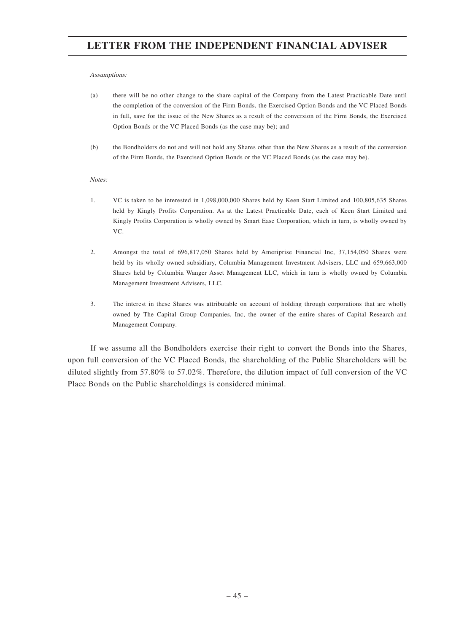#### Assumptions:

- (a) there will be no other change to the share capital of the Company from the Latest Practicable Date until the completion of the conversion of the Firm Bonds, the Exercised Option Bonds and the VC Placed Bonds in full, save for the issue of the New Shares as a result of the conversion of the Firm Bonds, the Exercised Option Bonds or the VC Placed Bonds (as the case may be); and
- (b) the Bondholders do not and will not hold any Shares other than the New Shares as a result of the conversion of the Firm Bonds, the Exercised Option Bonds or the VC Placed Bonds (as the case may be).

#### Notes:

- 1. VC is taken to be interested in 1,098,000,000 Shares held by Keen Start Limited and 100,805,635 Shares held by Kingly Profits Corporation. As at the Latest Practicable Date, each of Keen Start Limited and Kingly Profits Corporation is wholly owned by Smart Ease Corporation, which in turn, is wholly owned by VC.
- 2. Amongst the total of 696,817,050 Shares held by Ameriprise Financial Inc, 37,154,050 Shares were held by its wholly owned subsidiary, Columbia Management Investment Advisers, LLC and 659,663,000 Shares held by Columbia Wanger Asset Management LLC, which in turn is wholly owned by Columbia Management Investment Advisers, LLC.
- 3. The interest in these Shares was attributable on account of holding through corporations that are wholly owned by The Capital Group Companies, Inc, the owner of the entire shares of Capital Research and Management Company.

If we assume all the Bondholders exercise their right to convert the Bonds into the Shares, upon full conversion of the VC Placed Bonds, the shareholding of the Public Shareholders will be diluted slightly from 57.80% to 57.02%. Therefore, the dilution impact of full conversion of the VC Place Bonds on the Public shareholdings is considered minimal.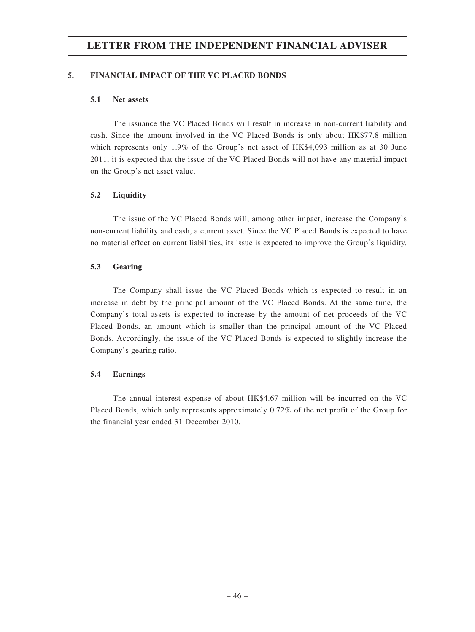#### **5. FINANCIAL IMPACT OF THE VC PLACED BONDS**

#### **5.1 Net assets**

The issuance the VC Placed Bonds will result in increase in non-current liability and cash. Since the amount involved in the VC Placed Bonds is only about HK\$77.8 million which represents only 1.9% of the Group's net asset of HK\$4,093 million as at 30 June 2011, it is expected that the issue of the VC Placed Bonds will not have any material impact on the Group's net asset value.

#### **5.2 Liquidity**

The issue of the VC Placed Bonds will, among other impact, increase the Company's non-current liability and cash, a current asset. Since the VC Placed Bonds is expected to have no material effect on current liabilities, its issue is expected to improve the Group's liquidity.

#### **5.3 Gearing**

The Company shall issue the VC Placed Bonds which is expected to result in an increase in debt by the principal amount of the VC Placed Bonds. At the same time, the Company's total assets is expected to increase by the amount of net proceeds of the VC Placed Bonds, an amount which is smaller than the principal amount of the VC Placed Bonds. Accordingly, the issue of the VC Placed Bonds is expected to slightly increase the Company's gearing ratio.

#### **5.4 Earnings**

The annual interest expense of about HK\$4.67 million will be incurred on the VC Placed Bonds, which only represents approximately 0.72% of the net profit of the Group for the financial year ended 31 December 2010.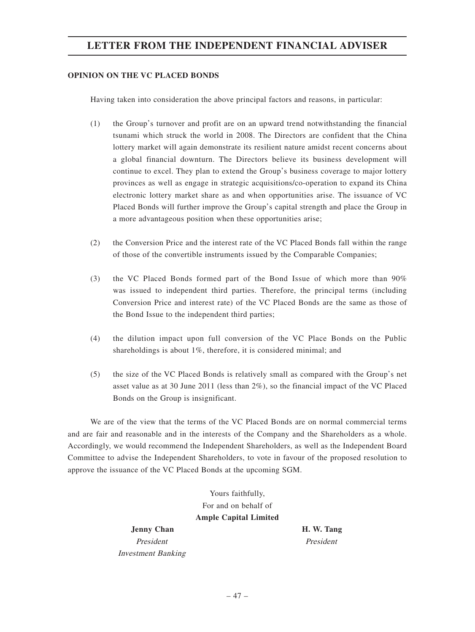#### **OPINION ON THE VC PLACED BONDS**

Having taken into consideration the above principal factors and reasons, in particular:

- (1) the Group's turnover and profit are on an upward trend notwithstanding the financial tsunami which struck the world in 2008. The Directors are confident that the China lottery market will again demonstrate its resilient nature amidst recent concerns about a global financial downturn. The Directors believe its business development will continue to excel. They plan to extend the Group's business coverage to major lottery provinces as well as engage in strategic acquisitions/co-operation to expand its China electronic lottery market share as and when opportunities arise. The issuance of VC Placed Bonds will further improve the Group's capital strength and place the Group in a more advantageous position when these opportunities arise;
- (2) the Conversion Price and the interest rate of the VC Placed Bonds fall within the range of those of the convertible instruments issued by the Comparable Companies;
- (3) the VC Placed Bonds formed part of the Bond Issue of which more than 90% was issued to independent third parties. Therefore, the principal terms (including Conversion Price and interest rate) of the VC Placed Bonds are the same as those of the Bond Issue to the independent third parties;
- (4) the dilution impact upon full conversion of the VC Place Bonds on the Public shareholdings is about 1%, therefore, it is considered minimal; and
- (5) the size of the VC Placed Bonds is relatively small as compared with the Group's net asset value as at 30 June 2011 (less than 2%), so the financial impact of the VC Placed Bonds on the Group is insignificant.

We are of the view that the terms of the VC Placed Bonds are on normal commercial terms and are fair and reasonable and in the interests of the Company and the Shareholders as a whole. Accordingly, we would recommend the Independent Shareholders, as well as the Independent Board Committee to advise the Independent Shareholders, to vote in favour of the proposed resolution to approve the issuance of the VC Placed Bonds at the upcoming SGM.

> Yours faithfully, For and on behalf of **Ample Capital Limited**

**Jenny Chan H. W. Tang** President President Investment Banking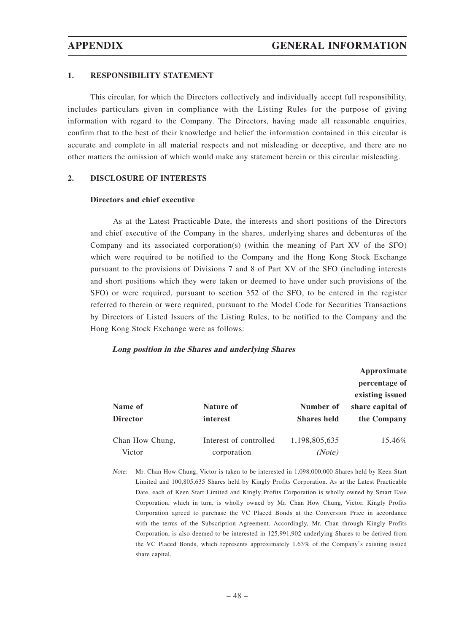#### **1. RESPONSIBILITY STATEMENT**

This circular, for which the Directors collectively and individually accept full responsibility, includes particulars given in compliance with the Listing Rules for the purpose of giving information with regard to the Company. The Directors, having made all reasonable enquiries, confirm that to the best of their knowledge and belief the information contained in this circular is accurate and complete in all material respects and not misleading or deceptive, and there are no other matters the omission of which would make any statement herein or this circular misleading.

#### **2. DISCLOSURE OF INTERESTS**

#### **Directors and chief executive**

As at the Latest Practicable Date, the interests and short positions of the Directors and chief executive of the Company in the shares, underlying shares and debentures of the Company and its associated corporation(s) (within the meaning of Part XV of the SFO) which were required to be notified to the Company and the Hong Kong Stock Exchange pursuant to the provisions of Divisions 7 and 8 of Part XV of the SFO (including interests and short positions which they were taken or deemed to have under such provisions of the SFO) or were required, pursuant to section 352 of the SFO, to be entered in the register referred to therein or were required, pursuant to the Model Code for Securities Transactions by Directors of Listed Issuers of the Listing Rules, to be notified to the Company and the Hong Kong Stock Exchange were as follows:

#### **Long position in the Shares and underlying Shares**

|                 |                        |                    | Approximate      |
|-----------------|------------------------|--------------------|------------------|
|                 |                        |                    | percentage of    |
|                 |                        |                    | existing issued  |
| Name of         | Nature of              | Number of          | share capital of |
| <b>Director</b> | interest               | <b>Shares held</b> | the Company      |
| Chan How Chung, | Interest of controlled | 1,198,805,635      | 15.46%           |
| Victor          | corporation            | (Note)             |                  |

Note: Mr. Chan How Chung, Victor is taken to be interested in 1,098,000,000 Shares held by Keen Start Limited and 100,805,635 Shares held by Kingly Profits Corporation. As at the Latest Practicable Date, each of Keen Start Limited and Kingly Profits Corporation is wholly owned by Smart Ease Corporation, which in turn, is wholly owned by Mr. Chan How Chung, Victor. Kingly Profits Corporation agreed to purchase the VC Placed Bonds at the Conversion Price in accordance with the terms of the Subscription Agreement. Accordingly, Mr. Chan through Kingly Profits Corporation, is also deemed to be interested in 125,991,902 underlying Shares to be derived from the VC Placed Bonds, which represents approximately 1.63% of the Company's existing issued share capital.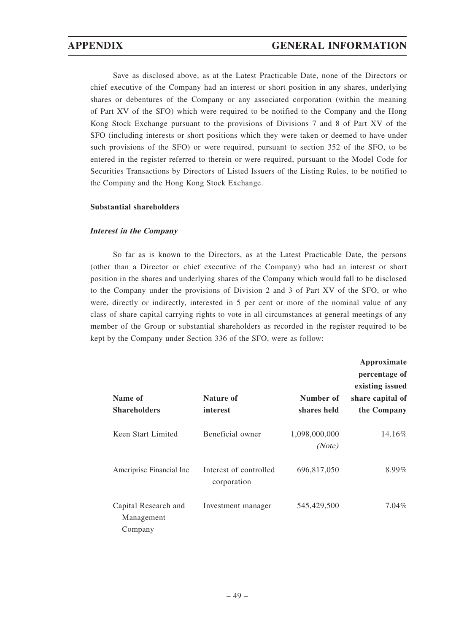Save as disclosed above, as at the Latest Practicable Date, none of the Directors or chief executive of the Company had an interest or short position in any shares, underlying shares or debentures of the Company or any associated corporation (within the meaning of Part XV of the SFO) which were required to be notified to the Company and the Hong Kong Stock Exchange pursuant to the provisions of Divisions 7 and 8 of Part XV of the SFO (including interests or short positions which they were taken or deemed to have under such provisions of the SFO) or were required, pursuant to section 352 of the SFO, to be entered in the register referred to therein or were required, pursuant to the Model Code for Securities Transactions by Directors of Listed Issuers of the Listing Rules, to be notified to the Company and the Hong Kong Stock Exchange.

#### **Substantial shareholders**

#### **Interest in the Company**

So far as is known to the Directors, as at the Latest Practicable Date, the persons (other than a Director or chief executive of the Company) who had an interest or short position in the shares and underlying shares of the Company which would fall to be disclosed to the Company under the provisions of Division 2 and 3 of Part XV of the SFO, or who were, directly or indirectly, interested in 5 per cent or more of the nominal value of any class of share capital carrying rights to vote in all circumstances at general meetings of any member of the Group or substantial shareholders as recorded in the register required to be kept by the Company under Section 336 of the SFO, were as follow:

|                                               |                                       |                          | Approximate<br>percentage of<br>existing issued |
|-----------------------------------------------|---------------------------------------|--------------------------|-------------------------------------------------|
| Name of<br><b>Shareholders</b>                | Nature of<br>interest                 | Number of<br>shares held | share capital of<br>the Company                 |
| Keen Start Limited                            | Beneficial owner                      | 1,098,000,000<br>(Note)  | 14.16%                                          |
| Ameriprise Financial Inc                      | Interest of controlled<br>corporation | 696,817,050              | $8.99\%$                                        |
| Capital Research and<br>Management<br>Company | Investment manager                    | 545,429,500              | 7.04%                                           |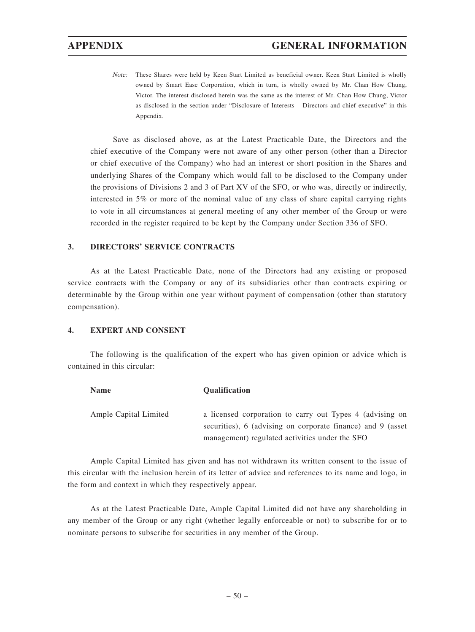Note: These Shares were held by Keen Start Limited as beneficial owner. Keen Start Limited is wholly owned by Smart Ease Corporation, which in turn, is wholly owned by Mr. Chan How Chung, Victor. The interest disclosed herein was the same as the interest of Mr. Chan How Chung, Victor as disclosed in the section under "Disclosure of Interests – Directors and chief executive" in this Appendix.

Save as disclosed above, as at the Latest Practicable Date, the Directors and the chief executive of the Company were not aware of any other person (other than a Director or chief executive of the Company) who had an interest or short position in the Shares and underlying Shares of the Company which would fall to be disclosed to the Company under the provisions of Divisions 2 and 3 of Part XV of the SFO, or who was, directly or indirectly, interested in 5% or more of the nominal value of any class of share capital carrying rights to vote in all circumstances at general meeting of any other member of the Group or were recorded in the register required to be kept by the Company under Section 336 of SFO.

#### **3. DIRECTORS' SERVICE CONTRACTS**

As at the Latest Practicable Date, none of the Directors had any existing or proposed service contracts with the Company or any of its subsidiaries other than contracts expiring or determinable by the Group within one year without payment of compensation (other than statutory compensation).

#### **4. EXPERT AND CONSENT**

The following is the qualification of the expert who has given opinion or advice which is contained in this circular:

| <b>Name</b>           | <b>Oualification</b>                                                                                                    |
|-----------------------|-------------------------------------------------------------------------------------------------------------------------|
| Ample Capital Limited | a licensed corporation to carry out Types 4 (advising on<br>securities), 6 (advising on corporate finance) and 9 (asset |
|                       | management) regulated activities under the SFO                                                                          |

Ample Capital Limited has given and has not withdrawn its written consent to the issue of this circular with the inclusion herein of its letter of advice and references to its name and logo, in the form and context in which they respectively appear.

As at the Latest Practicable Date, Ample Capital Limited did not have any shareholding in any member of the Group or any right (whether legally enforceable or not) to subscribe for or to nominate persons to subscribe for securities in any member of the Group.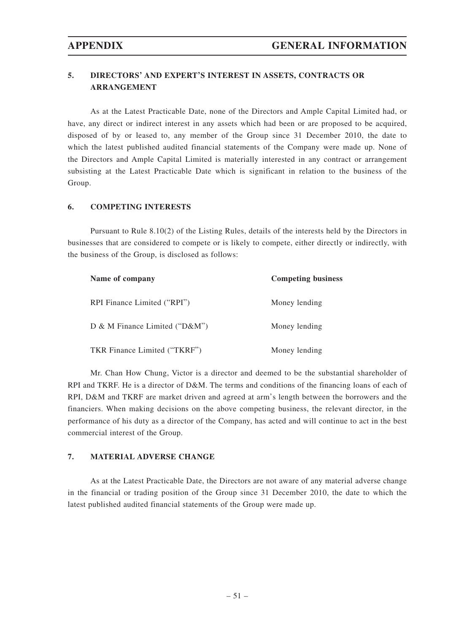## **5. DIRECTORS' AND EXPERT'S INTEREST IN ASSETS, CONTRACTS OR ARRANGEMENT**

As at the Latest Practicable Date, none of the Directors and Ample Capital Limited had, or have, any direct or indirect interest in any assets which had been or are proposed to be acquired, disposed of by or leased to, any member of the Group since 31 December 2010, the date to which the latest published audited financial statements of the Company were made up. None of the Directors and Ample Capital Limited is materially interested in any contract or arrangement subsisting at the Latest Practicable Date which is significant in relation to the business of the Group.

#### **6. COMPETING INTERESTS**

Pursuant to Rule 8.10(2) of the Listing Rules, details of the interests held by the Directors in businesses that are considered to compete or is likely to compete, either directly or indirectly, with the business of the Group, is disclosed as follows:

| Name of company                    | <b>Competing business</b> |
|------------------------------------|---------------------------|
| RPI Finance Limited ("RPI")        | Money lending             |
| D & M Finance Limited (" $D\&M$ ") | Money lending             |
| TKR Finance Limited ("TKRF")       | Money lending             |

Mr. Chan How Chung, Victor is a director and deemed to be the substantial shareholder of RPI and TKRF. He is a director of D&M. The terms and conditions of the financing loans of each of RPI, D&M and TKRF are market driven and agreed at arm's length between the borrowers and the financiers. When making decisions on the above competing business, the relevant director, in the performance of his duty as a director of the Company, has acted and will continue to act in the best commercial interest of the Group.

### **7. MATERIAL ADVERSE CHANGE**

As at the Latest Practicable Date, the Directors are not aware of any material adverse change in the financial or trading position of the Group since 31 December 2010, the date to which the latest published audited financial statements of the Group were made up.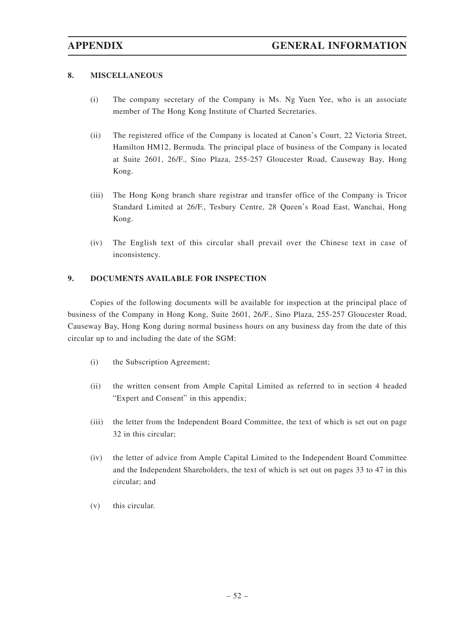#### **8. MISCELLANEOUS**

- (i) The company secretary of the Company is Ms. Ng Yuen Yee, who is an associate member of The Hong Kong Institute of Charted Secretaries.
- (ii) The registered office of the Company is located at Canon's Court, 22 Victoria Street, Hamilton HM12, Bermuda. The principal place of business of the Company is located at Suite 2601, 26/F., Sino Plaza, 255-257 Gloucester Road, Causeway Bay, Hong Kong.
- (iii) The Hong Kong branch share registrar and transfer office of the Company is Tricor Standard Limited at 26/F., Tesbury Centre, 28 Queen's Road East, Wanchai, Hong Kong.
- (iv) The English text of this circular shall prevail over the Chinese text in case of inconsistency.

#### **9. DOCUMENTS AVAILABLE FOR INSPECTION**

Copies of the following documents will be available for inspection at the principal place of business of the Company in Hong Kong, Suite 2601, 26/F., Sino Plaza, 255-257 Gloucester Road, Causeway Bay, Hong Kong during normal business hours on any business day from the date of this circular up to and including the date of the SGM:

- (i) the Subscription Agreement;
- (ii) the written consent from Ample Capital Limited as referred to in section 4 headed "Expert and Consent" in this appendix;
- (iii) the letter from the Independent Board Committee, the text of which is set out on page 32 in this circular;
- (iv) the letter of advice from Ample Capital Limited to the Independent Board Committee and the Independent Shareholders, the text of which is set out on pages 33 to 47 in this circular; and
- (v) this circular.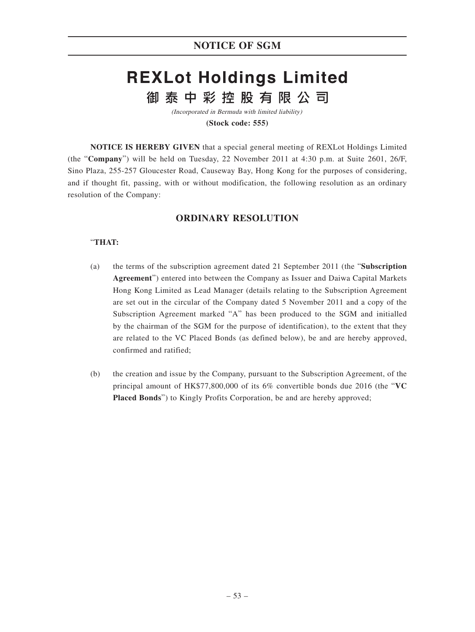# **REXLot Holdings Limited** 御泰中彩控股有限公司

(Incorporated in Bermuda with limited liability) **(Stock code: 555)**

**NOTICE IS HEREBY GIVEN** that a special general meeting of REXLot Holdings Limited (the "**Company**") will be held on Tuesday, 22 November 2011 at 4:30 p.m. at Suite 2601, 26/F, Sino Plaza, 255-257 Gloucester Road, Causeway Bay, Hong Kong for the purposes of considering, and if thought fit, passing, with or without modification, the following resolution as an ordinary resolution of the Company:

# **ORDINARY RESOLUTION**

### "**THAT:**

- (a) the terms of the subscription agreement dated 21 September 2011 (the "**Subscription Agreement**") entered into between the Company as Issuer and Daiwa Capital Markets Hong Kong Limited as Lead Manager (details relating to the Subscription Agreement are set out in the circular of the Company dated 5 November 2011 and a copy of the Subscription Agreement marked "A" has been produced to the SGM and initialled by the chairman of the SGM for the purpose of identification), to the extent that they are related to the VC Placed Bonds (as defined below), be and are hereby approved, confirmed and ratified;
- (b) the creation and issue by the Company, pursuant to the Subscription Agreement, of the principal amount of HK\$77,800,000 of its 6% convertible bonds due 2016 (the "**VC Placed Bonds**") to Kingly Profits Corporation, be and are hereby approved;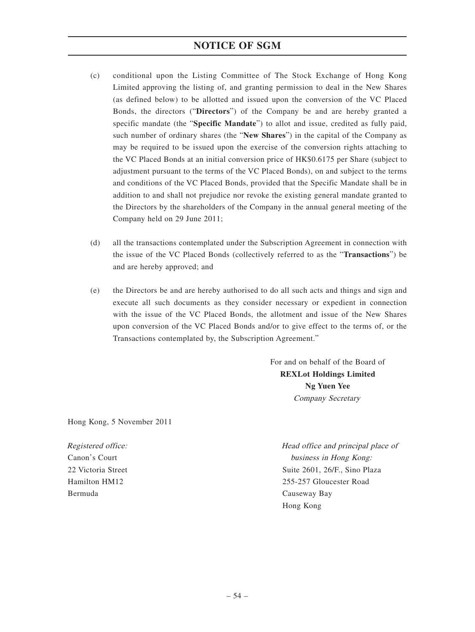# **NOTICE OF SGM**

- (c) conditional upon the Listing Committee of The Stock Exchange of Hong Kong Limited approving the listing of, and granting permission to deal in the New Shares (as defined below) to be allotted and issued upon the conversion of the VC Placed Bonds, the directors ("**Directors**") of the Company be and are hereby granted a specific mandate (the "**Specific Mandate**") to allot and issue, credited as fully paid, such number of ordinary shares (the "**New Shares**") in the capital of the Company as may be required to be issued upon the exercise of the conversion rights attaching to the VC Placed Bonds at an initial conversion price of HK\$0.6175 per Share (subject to adjustment pursuant to the terms of the VC Placed Bonds), on and subject to the terms and conditions of the VC Placed Bonds, provided that the Specific Mandate shall be in addition to and shall not prejudice nor revoke the existing general mandate granted to the Directors by the shareholders of the Company in the annual general meeting of the Company held on 29 June 2011;
- (d) all the transactions contemplated under the Subscription Agreement in connection with the issue of the VC Placed Bonds (collectively referred to as the "**Transactions**") be and are hereby approved; and
- (e) the Directors be and are hereby authorised to do all such acts and things and sign and execute all such documents as they consider necessary or expedient in connection with the issue of the VC Placed Bonds, the allotment and issue of the New Shares upon conversion of the VC Placed Bonds and/or to give effect to the terms of, or the Transactions contemplated by, the Subscription Agreement."

For and on behalf of the Board of **REXLot Holdings Limited Ng Yuen Yee** Company Secretary

Hong Kong, 5 November 2011

Registered office: Canon's Court 22 Victoria Street Hamilton HM12 Bermuda

Head office and principal place of business in Hong Kong: Suite 2601, 26/F., Sino Plaza 255-257 Gloucester Road Causeway Bay Hong Kong